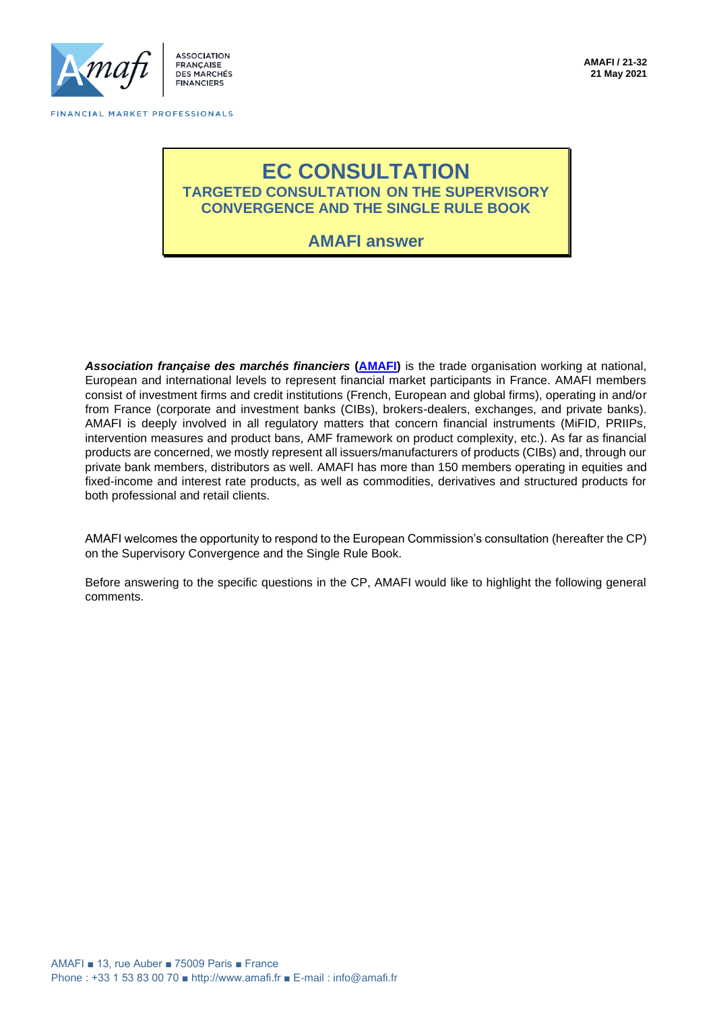

**ACCOCIATION** FRANCAISE **DES MARCHÉS FINANCIERS** 

# **EC CONSULTATION TARGETED CONSULTATION ON THE SUPERVISORY CONVERGENCE AND THE SINGLE RULE BOOK**

**AMAFI answer**

*Association française des marchés financiers* **[\(AMAFI\)](http://amafi.fr/en)** is the trade organisation working at national, European and international levels to represent financial market participants in France. AMAFI members consist of investment firms and credit institutions (French, European and global firms), operating in and/or from France (corporate and investment banks (CIBs), brokers-dealers, exchanges, and private banks). AMAFI is deeply involved in all regulatory matters that concern financial instruments (MiFID, PRIIPs, intervention measures and product bans, AMF framework on product complexity, etc.). As far as financial products are concerned, we mostly represent all issuers/manufacturers of products (CIBs) and, through our private bank members, distributors as well. AMAFI has more than 150 members operating in equities and fixed-income and interest rate products, as well as commodities, derivatives and structured products for both professional and retail clients.

AMAFI welcomes the opportunity to respond to the European Commission's consultation (hereafter the CP) on the Supervisory Convergence and the Single Rule Book.

Before answering to the specific questions in the CP, AMAFI would like to highlight the following general comments.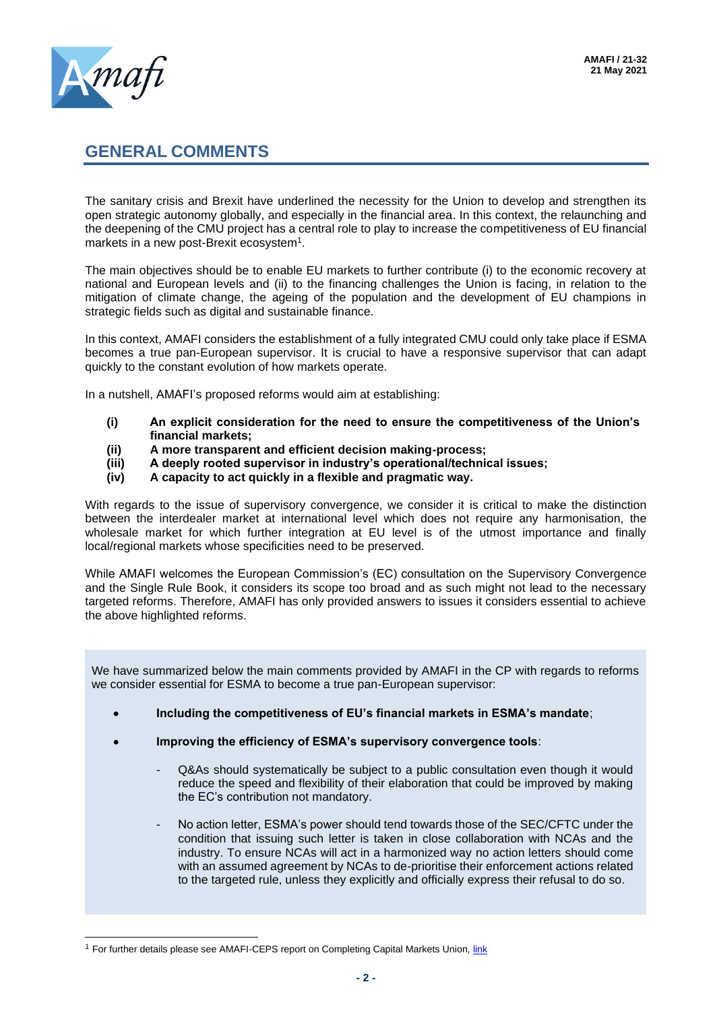# **GENERAL COMMENTS**

The sanitary crisis and Brexit have underlined the necessity for the Union to develop and strengthen its open strategic autonomy globally, and especially in the financial area. In this context, the relaunching and the deepening of the CMU project has a central role to play to increase the competitiveness of EU financial markets in a new post-Brexit ecosystem<sup>1</sup>.

The main objectives should be to enable EU markets to further contribute (i) to the economic recovery at national and European levels and (ii) to the financing challenges the Union is facing, in relation to the mitigation of climate change, the ageing of the population and the development of EU champions in strategic fields such as digital and sustainable finance.

In this context, AMAFI considers the establishment of a fully integrated CMU could only take place if ESMA becomes a true pan-European supervisor. It is crucial to have a responsive supervisor that can adapt quickly to the constant evolution of how markets operate.

In a nutshell, AMAFI's proposed reforms would aim at establishing:

- **(i) An explicit consideration for the need to ensure the competitiveness of the Union's financial markets;**
- **(ii) A more transparent and efficient decision making-process;**
- **(iii) A deeply rooted supervisor in industry's operational/technical issues;**
- **(iv) A capacity to act quickly in a flexible and pragmatic way.**

With regards to the issue of supervisory convergence, we consider it is critical to make the distinction between the interdealer market at international level which does not require any harmonisation, the wholesale market for which further integration at EU level is of the utmost importance and finally local/regional markets whose specificities need to be preserved.

While AMAFI welcomes the European Commission's (EC) consultation on the Supervisory Convergence and the Single Rule Book, it considers its scope too broad and as such might not lead to the necessary targeted reforms. Therefore, AMAFI has only provided answers to issues it considers essential to achieve the above highlighted reforms.

We have summarized below the main comments provided by AMAFI in the CP with regards to reforms we consider essential for ESMA to become a true pan-European supervisor:

- **Including the competitiveness of EU's financial markets in ESMA's mandate**;
- **Improving the efficiency of ESMA's supervisory convergence tools**:
	- Q&As should systematically be subject to a public consultation even though it would reduce the speed and flexibility of their elaboration that could be improved by making the EC's contribution not mandatory.
	- No action letter, ESMA's power should tend towards those of the SEC/CFTC under the condition that issuing such letter is taken in close collaboration with NCAs and the industry. To ensure NCAs will act in a harmonized way no action letters should come with an assumed agreement by NCAs to de-prioritise their enforcement actions related to the targeted rule, unless they explicitly and officially express their refusal to do so.

<sup>&</sup>lt;sup>1</sup> For further details please see AMAFI-CEPS report on Completing Capital Markets Union, *link*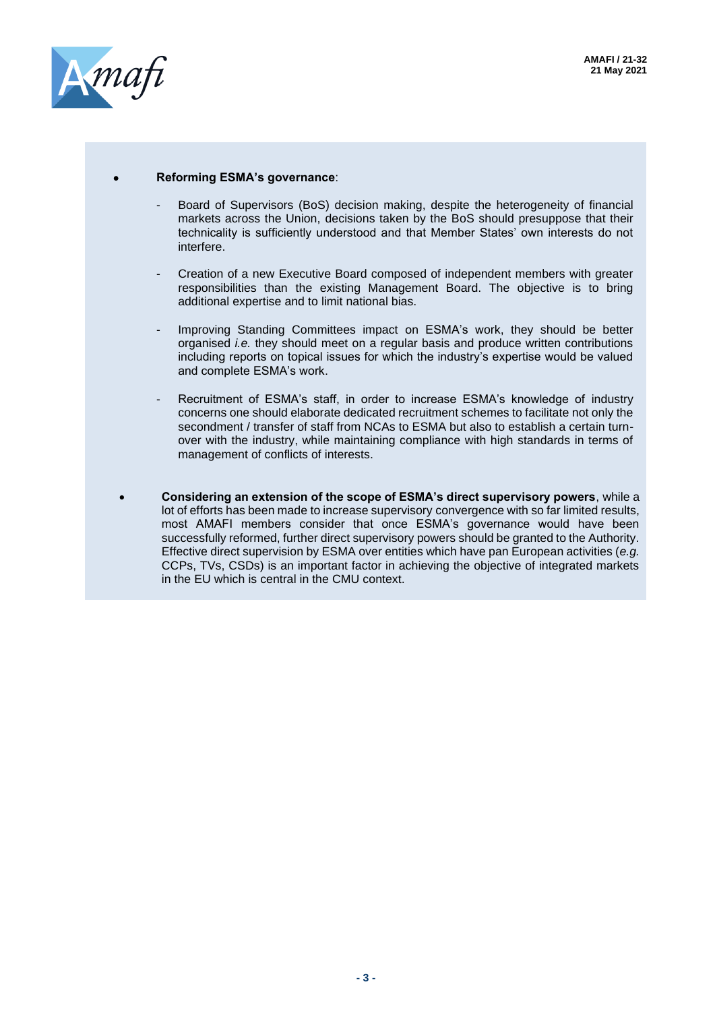

#### • **Reforming ESMA's governance**:

- Board of Supervisors (BoS) decision making, despite the heterogeneity of financial markets across the Union, decisions taken by the BoS should presuppose that their technicality is sufficiently understood and that Member States' own interests do not interfere.
- Creation of a new Executive Board composed of independent members with greater responsibilities than the existing Management Board. The objective is to bring additional expertise and to limit national bias.
- Improving Standing Committees impact on ESMA's work, they should be better organised *i.e.* they should meet on a regular basis and produce written contributions including reports on topical issues for which the industry's expertise would be valued and complete ESMA's work.
- Recruitment of ESMA's staff, in order to increase ESMA's knowledge of industry concerns one should elaborate dedicated recruitment schemes to facilitate not only the secondment / transfer of staff from NCAs to ESMA but also to establish a certain turnover with the industry, while maintaining compliance with high standards in terms of management of conflicts of interests.
- **Considering an extension of the scope of ESMA's direct supervisory powers**, while a lot of efforts has been made to increase supervisory convergence with so far limited results, most AMAFI members consider that once ESMA's governance would have been successfully reformed, further direct supervisory powers should be granted to the Authority. Effective direct supervision by ESMA over entities which have pan European activities (*e.g.* CCPs, TVs, CSDs) is an important factor in achieving the objective of integrated markets in the EU which is central in the CMU context.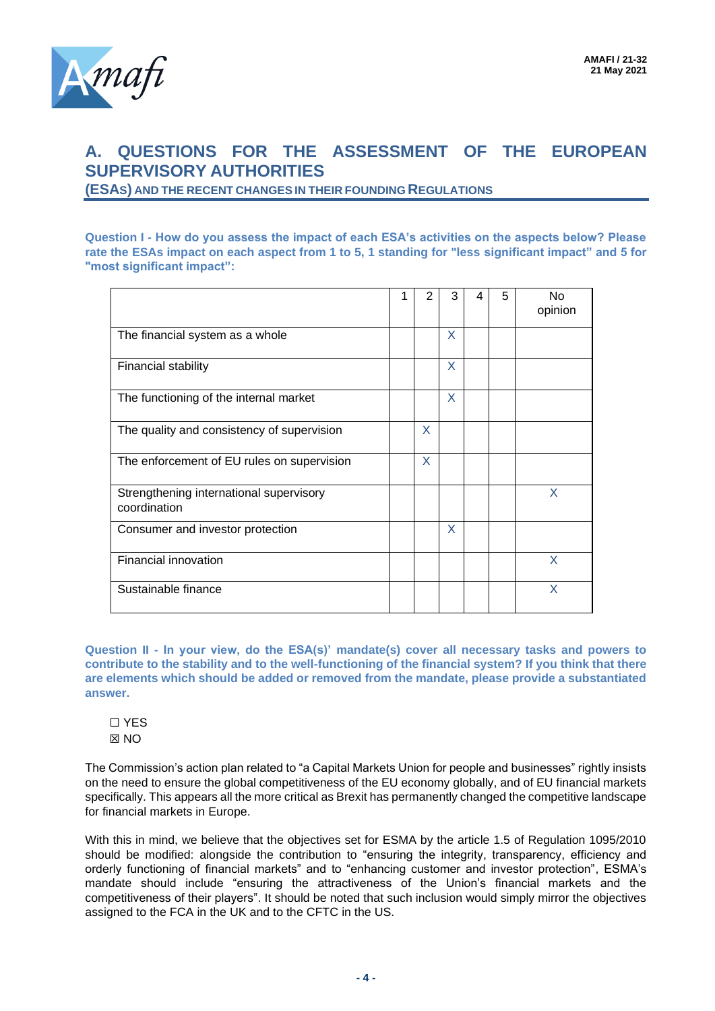# **A. QUESTIONS FOR THE ASSESSMENT OF THE EUROPEAN SUPERVISORY AUTHORITIES**

**(ESAS) AND THE RECENT CHANGES IN THEIR FOUNDING REGULATIONS**

**Question I - How do you assess the impact of each ESA's activities on the aspects below? Please rate the ESAs impact on each aspect from 1 to 5, 1 standing for "less significant impact" and 5 for "most significant impact":**

|                                                         | 2 | 3 | 4 | 5 | N <sub>o</sub><br>opinion |
|---------------------------------------------------------|---|---|---|---|---------------------------|
| The financial system as a whole                         |   | X |   |   |                           |
| Financial stability                                     |   | X |   |   |                           |
| The functioning of the internal market                  |   | X |   |   |                           |
| The quality and consistency of supervision              | X |   |   |   |                           |
| The enforcement of EU rules on supervision              | X |   |   |   |                           |
| Strengthening international supervisory<br>coordination |   |   |   |   | X                         |
| Consumer and investor protection                        |   | X |   |   |                           |
| Financial innovation                                    |   |   |   |   | X                         |
| Sustainable finance                                     |   |   |   |   | X                         |

**Question II - In your view, do the ESA(s)' mandate(s) cover all necessary tasks and powers to contribute to the stability and to the well-functioning of the financial system? If you think that there are elements which should be added or removed from the mandate, please provide a substantiated answer.**



The Commission's action plan related to "a Capital Markets Union for people and businesses" rightly insists on the need to ensure the global competitiveness of the EU economy globally, and of EU financial markets specifically. This appears all the more critical as Brexit has permanently changed the competitive landscape for financial markets in Europe.

With this in mind, we believe that the objectives set for ESMA by the article 1.5 of Regulation 1095/2010 should be modified: alongside the contribution to "ensuring the integrity, transparency, efficiency and orderly functioning of financial markets" and to "enhancing customer and investor protection", ESMA's mandate should include "ensuring the attractiveness of the Union's financial markets and the competitiveness of their players". It should be noted that such inclusion would simply mirror the objectives assigned to the FCA in the UK and to the CFTC in the US.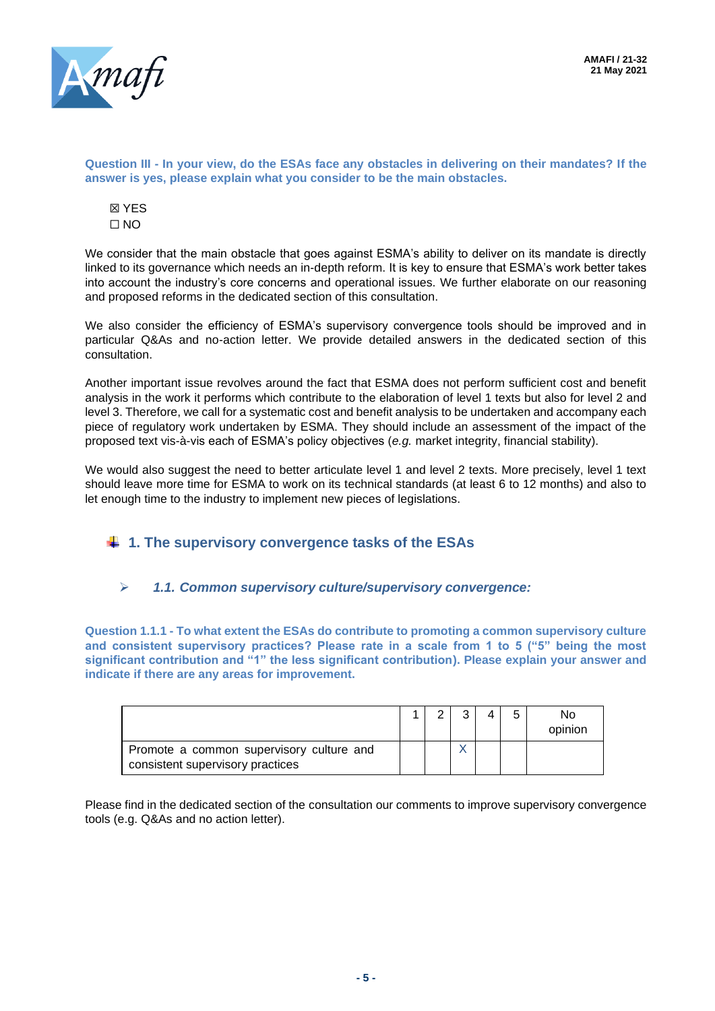

**Question III - In your view, do the ESAs face any obstacles in delivering on their mandates? If the answer is yes, please explain what you consider to be the main obstacles.**

☒ YES  $\Box$  NO

We consider that the main obstacle that goes against ESMA's ability to deliver on its mandate is directly linked to its governance which needs an in-depth reform. It is key to ensure that ESMA's work better takes into account the industry's core concerns and operational issues. We further elaborate on our reasoning and proposed reforms in the dedicated section of this consultation.

We also consider the efficiency of ESMA's supervisory convergence tools should be improved and in particular Q&As and no-action letter. We provide detailed answers in the dedicated section of this consultation.

Another important issue revolves around the fact that ESMA does not perform sufficient cost and benefit analysis in the work it performs which contribute to the elaboration of level 1 texts but also for level 2 and level 3. Therefore, we call for a systematic cost and benefit analysis to be undertaken and accompany each piece of regulatory work undertaken by ESMA. They should include an assessment of the impact of the proposed text vis-à-vis each of ESMA's policy objectives (*e.g.* market integrity, financial stability).

We would also suggest the need to better articulate level 1 and level 2 texts. More precisely, level 1 text should leave more time for ESMA to work on its technical standards (at least 6 to 12 months) and also to let enough time to the industry to implement new pieces of legislations.

# **1. The supervisory convergence tasks of the ESAs**

## ➢ *1.1. Common supervisory culture/supervisory convergence:*

**Question 1.1.1 - To what extent the ESAs do contribute to promoting a common supervisory culture and consistent supervisory practices? Please rate in a scale from 1 to 5 ("5" being the most significant contribution and "1" the less significant contribution). Please explain your answer and indicate if there are any areas for improvement.**

|                                                                              |  |  | h | No.<br>opinion |
|------------------------------------------------------------------------------|--|--|---|----------------|
| Promote a common supervisory culture and<br>consistent supervisory practices |  |  |   |                |

Please find in the dedicated section of the consultation our comments to improve supervisory convergence tools (e.g. Q&As and no action letter).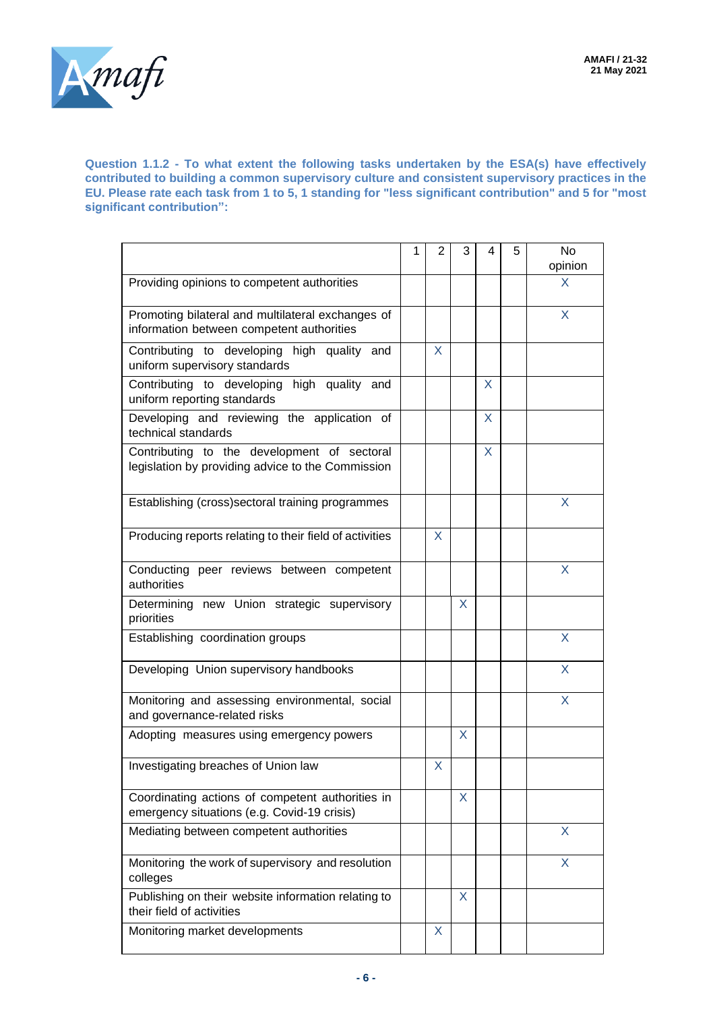

**Question 1.1.2 - To what extent the following tasks undertaken by the ESA(s) have effectively contributed to building a common supervisory culture and consistent supervisory practices in the EU. Please rate each task from 1 to 5, 1 standing for "less significant contribution" and 5 for "most significant contribution":**

|                                                                                                  | 1 | $\overline{2}$ | 3  | 4 | 5 | <b>No</b><br>opinion |
|--------------------------------------------------------------------------------------------------|---|----------------|----|---|---|----------------------|
| Providing opinions to competent authorities                                                      |   |                |    |   |   | X                    |
| Promoting bilateral and multilateral exchanges of<br>information between competent authorities   |   |                |    |   |   | X                    |
| Contributing to developing high quality and<br>uniform supervisory standards                     |   | X              |    |   |   |                      |
| Contributing to developing high quality and<br>uniform reporting standards                       |   |                |    | X |   |                      |
| Developing and reviewing the application of<br>technical standards                               |   |                |    | X |   |                      |
| Contributing to the development of sectoral<br>legislation by providing advice to the Commission |   |                |    | X |   |                      |
| Establishing (cross) sectoral training programmes                                                |   |                |    |   |   | X                    |
| Producing reports relating to their field of activities                                          |   | X              |    |   |   |                      |
| Conducting peer reviews between competent<br>authorities                                         |   |                |    |   |   | X                    |
| Determining new Union strategic supervisory<br>priorities                                        |   |                | X  |   |   |                      |
| Establishing coordination groups                                                                 |   |                |    |   |   | X                    |
| Developing Union supervisory handbooks                                                           |   |                |    |   |   | X                    |
| Monitoring and assessing environmental, social<br>and governance-related risks                   |   |                |    |   |   | X                    |
| Adopting measures using emergency powers                                                         |   |                | X  |   |   |                      |
| Investigating breaches of Union law                                                              |   | X              |    |   |   |                      |
| Coordinating actions of competent authorities in<br>emergency situations (e.g. Covid-19 crisis)  |   |                | X  |   |   |                      |
| Mediating between competent authorities                                                          |   |                |    |   |   | X                    |
| Monitoring the work of supervisory and resolution<br>colleges                                    |   |                |    |   |   | X                    |
| Publishing on their website information relating to<br>their field of activities                 |   |                | X. |   |   |                      |
| Monitoring market developments                                                                   |   | X              |    |   |   |                      |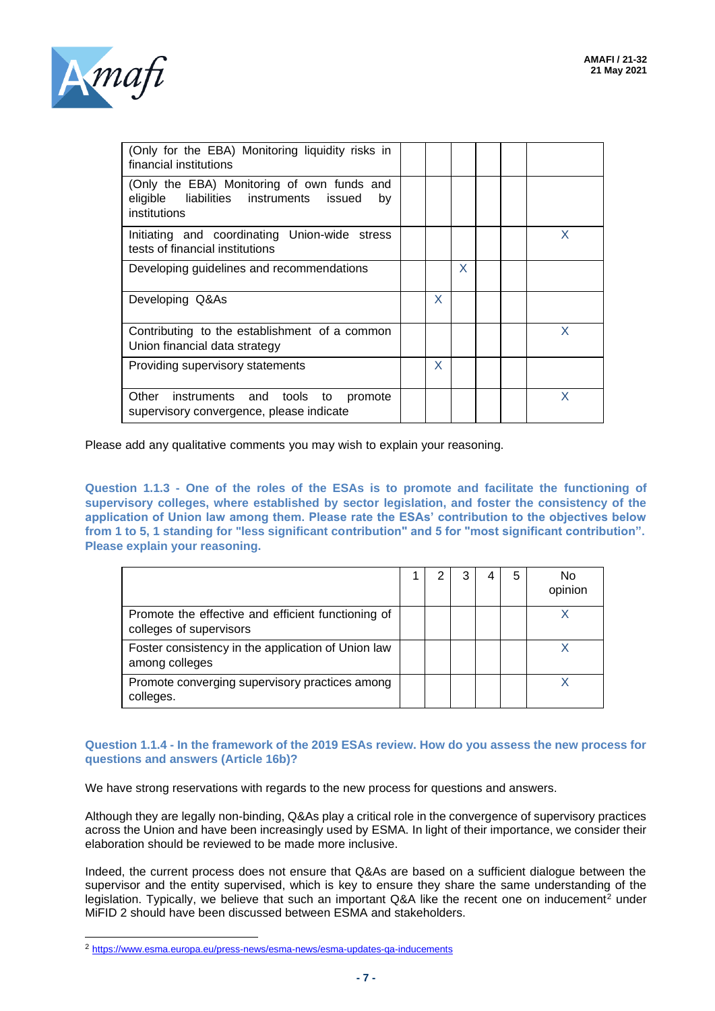

| (Only for the EBA) Monitoring liquidity risks in<br>financial institutions                                  |   |   |   |
|-------------------------------------------------------------------------------------------------------------|---|---|---|
| (Only the EBA) Monitoring of own funds and<br>eligible liabilities instruments issued<br>by<br>institutions |   |   |   |
| Initiating and coordinating Union-wide stress<br>tests of financial institutions                            |   |   | X |
| Developing guidelines and recommendations                                                                   |   | X |   |
| Developing Q&As                                                                                             | X |   |   |
| Contributing to the establishment of a common<br>Union financial data strategy                              |   |   | X |
| Providing supervisory statements                                                                            | X |   |   |
| Other instruments and tools to<br>promote<br>supervisory convergence, please indicate                       |   |   |   |

Please add any qualitative comments you may wish to explain your reasoning.

**Question 1.1.3 - One of the roles of the ESAs is to promote and facilitate the functioning of supervisory colleges, where established by sector legislation, and foster the consistency of the application of Union law among them. Please rate the ESAs' contribution to the objectives below from 1 to 5, 1 standing for "less significant contribution" and 5 for "most significant contribution". Please explain your reasoning.**

|                                                                               |  |  | N٥<br>opinion |
|-------------------------------------------------------------------------------|--|--|---------------|
| Promote the effective and efficient functioning of<br>colleges of supervisors |  |  |               |
| Foster consistency in the application of Union law<br>among colleges          |  |  |               |
| Promote converging supervisory practices among<br>colleges.                   |  |  |               |

**Question 1.1.4 - In the framework of the 2019 ESAs review. How do you assess the new process for questions and answers (Article 16b)?**

We have strong reservations with regards to the new process for questions and answers.

Although they are legally non-binding, Q&As play a critical role in the convergence of supervisory practices across the Union and have been increasingly used by ESMA. In light of their importance, we consider their elaboration should be reviewed to be made more inclusive.

Indeed, the current process does not ensure that Q&As are based on a sufficient dialogue between the supervisor and the entity supervised, which is key to ensure they share the same understanding of the legislation. Typically, we believe that such an important Q&A like the recent one on inducement<sup>2</sup> under MiFID 2 should have been discussed between ESMA and stakeholders.

<sup>2</sup> <https://www.esma.europa.eu/press-news/esma-news/esma-updates-qa-inducements>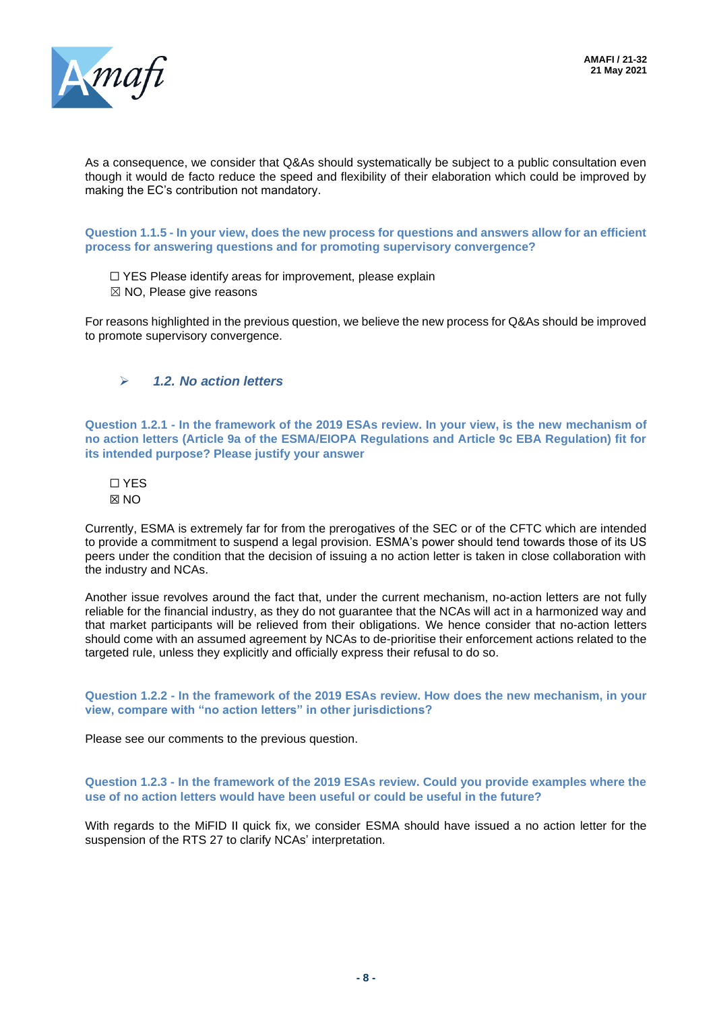

As a consequence, we consider that Q&As should systematically be subject to a public consultation even though it would de facto reduce the speed and flexibility of their elaboration which could be improved by making the EC's contribution not mandatory.

**Question 1.1.5 - In your view, does the new process for questions and answers allow for an efficient process for answering questions and for promoting supervisory convergence?**

- □ YES Please identify areas for improvement, please explain
- ☒ NO, Please give reasons

For reasons highlighted in the previous question, we believe the new process for Q&As should be improved to promote supervisory convergence.

## ➢ *1.2. No action letters*

**Question 1.2.1 - In the framework of the 2019 ESAs review. In your view, is the new mechanism of no action letters (Article 9a of the ESMA/EIOPA Regulations and Article 9c EBA Regulation) fit for its intended purpose? Please justify your answer**

☐ YES ☒ NO

Currently, ESMA is extremely far for from the prerogatives of the SEC or of the CFTC which are intended to provide a commitment to suspend a legal provision. ESMA's power should tend towards those of its US peers under the condition that the decision of issuing a no action letter is taken in close collaboration with the industry and NCAs.

Another issue revolves around the fact that, under the current mechanism, no-action letters are not fully reliable for the financial industry, as they do not guarantee that the NCAs will act in a harmonized way and that market participants will be relieved from their obligations. We hence consider that no-action letters should come with an assumed agreement by NCAs to de-prioritise their enforcement actions related to the targeted rule, unless they explicitly and officially express their refusal to do so.

**Question 1.2.2 - In the framework of the 2019 ESAs review. How does the new mechanism, in your view, compare with "no action letters" in other jurisdictions?**

Please see our comments to the previous question.

**Question 1.2.3 - In the framework of the 2019 ESAs review. Could you provide examples where the use of no action letters would have been useful or could be useful in the future?**

With regards to the MiFID II quick fix, we consider ESMA should have issued a no action letter for the suspension of the RTS 27 to clarify NCAs' interpretation.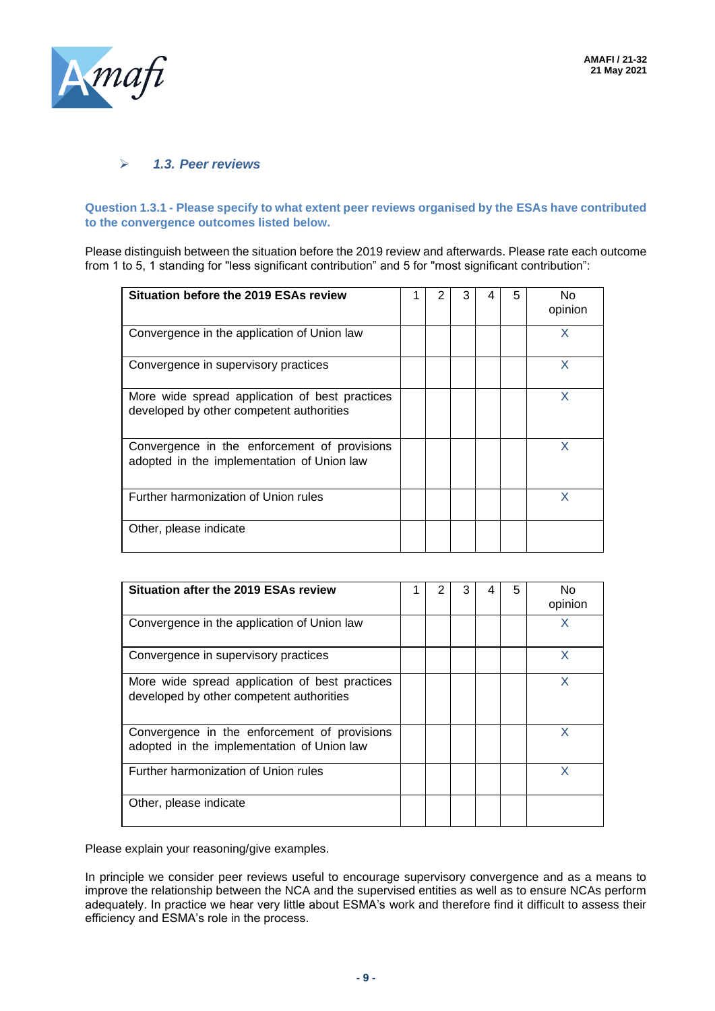

#### ➢ *1.3. Peer reviews*

#### **Question 1.3.1 - Please specify to what extent peer reviews organised by the ESAs have contributed to the convergence outcomes listed below.**

Please distinguish between the situation before the 2019 review and afterwards. Please rate each outcome from 1 to 5, 1 standing for "less significant contribution" and 5 for "most significant contribution":

| Situation before the 2019 ESAs review                                                      |  | 3 | 5 | No.<br>opinion |
|--------------------------------------------------------------------------------------------|--|---|---|----------------|
| Convergence in the application of Union law                                                |  |   |   | x              |
| Convergence in supervisory practices                                                       |  |   |   | X              |
| More wide spread application of best practices<br>developed by other competent authorities |  |   |   | x              |
| Convergence in the enforcement of provisions<br>adopted in the implementation of Union law |  |   |   | x              |
| Further harmonization of Union rules                                                       |  |   |   | x              |
| Other, please indicate                                                                     |  |   |   |                |

| <b>Situation after the 2019 ESAs review</b>                                                |  |  | 5 | N٥<br>opinion |
|--------------------------------------------------------------------------------------------|--|--|---|---------------|
| Convergence in the application of Union law                                                |  |  |   | x             |
| Convergence in supervisory practices                                                       |  |  |   | X             |
| More wide spread application of best practices<br>developed by other competent authorities |  |  |   | X             |
| Convergence in the enforcement of provisions<br>adopted in the implementation of Union law |  |  |   | X             |
| Further harmonization of Union rules                                                       |  |  |   | x             |
| Other, please indicate                                                                     |  |  |   |               |

Please explain your reasoning/give examples.

In principle we consider peer reviews useful to encourage supervisory convergence and as a means to improve the relationship between the NCA and the supervised entities as well as to ensure NCAs perform adequately. In practice we hear very little about ESMA's work and therefore find it difficult to assess their efficiency and ESMA's role in the process.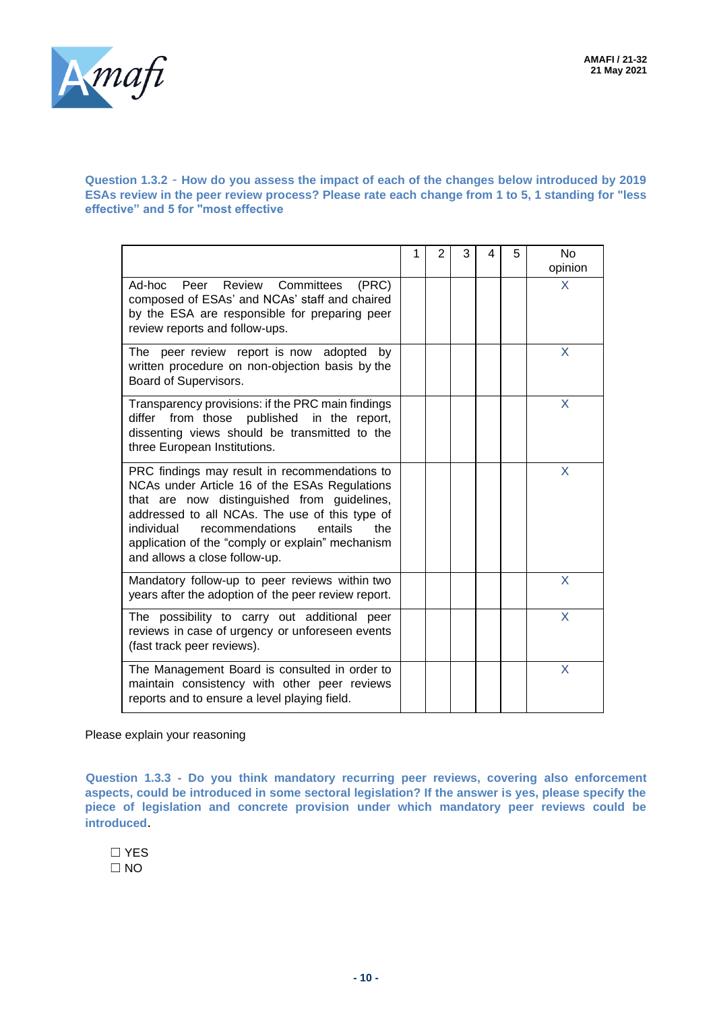

#### **Question 1.3.2** - **How do you assess the impact of each of the changes below introduced by 2019 ESAs review in the peer review process? Please rate each change from 1 to 5, 1 standing for "less effective" and 5 for "most effective**

|                                                                                                                                                                                                                                                                                                                                         | 1 | 2 | 3 | 4 | 5 | <b>No</b><br>opinion |
|-----------------------------------------------------------------------------------------------------------------------------------------------------------------------------------------------------------------------------------------------------------------------------------------------------------------------------------------|---|---|---|---|---|----------------------|
| Ad-hoc Peer Review<br>Committees<br>(PRC)<br>composed of ESAs' and NCAs' staff and chaired<br>by the ESA are responsible for preparing peer<br>review reports and follow-ups.                                                                                                                                                           |   |   |   |   |   | X                    |
| The peer review report is now adopted<br>by<br>written procedure on non-objection basis by the<br>Board of Supervisors.                                                                                                                                                                                                                 |   |   |   |   |   | X                    |
| Transparency provisions: if the PRC main findings<br>from those published in the report,<br>differ<br>dissenting views should be transmitted to the<br>three European Institutions.                                                                                                                                                     |   |   |   |   |   | X                    |
| PRC findings may result in recommendations to<br>NCAs under Article 16 of the ESAs Regulations<br>that are now distinguished from guidelines,<br>addressed to all NCAs. The use of this type of<br>individual<br>recommendations<br>entails<br>the<br>application of the "comply or explain" mechanism<br>and allows a close follow-up. |   |   |   |   |   | X                    |
| Mandatory follow-up to peer reviews within two<br>years after the adoption of the peer review report.                                                                                                                                                                                                                                   |   |   |   |   |   | X                    |
| The possibility to carry out additional peer<br>reviews in case of urgency or unforeseen events<br>(fast track peer reviews).                                                                                                                                                                                                           |   |   |   |   |   | X                    |
| The Management Board is consulted in order to<br>maintain consistency with other peer reviews<br>reports and to ensure a level playing field.                                                                                                                                                                                           |   |   |   |   |   | X                    |

Please explain your reasoning

**Question 1.3.3 - Do you think mandatory recurring peer reviews, covering also enforcement aspects, could be introduced in some sectoral legislation? If the answer is yes, please specify the piece of legislation and concrete provision under which mandatory peer reviews could be introduced**.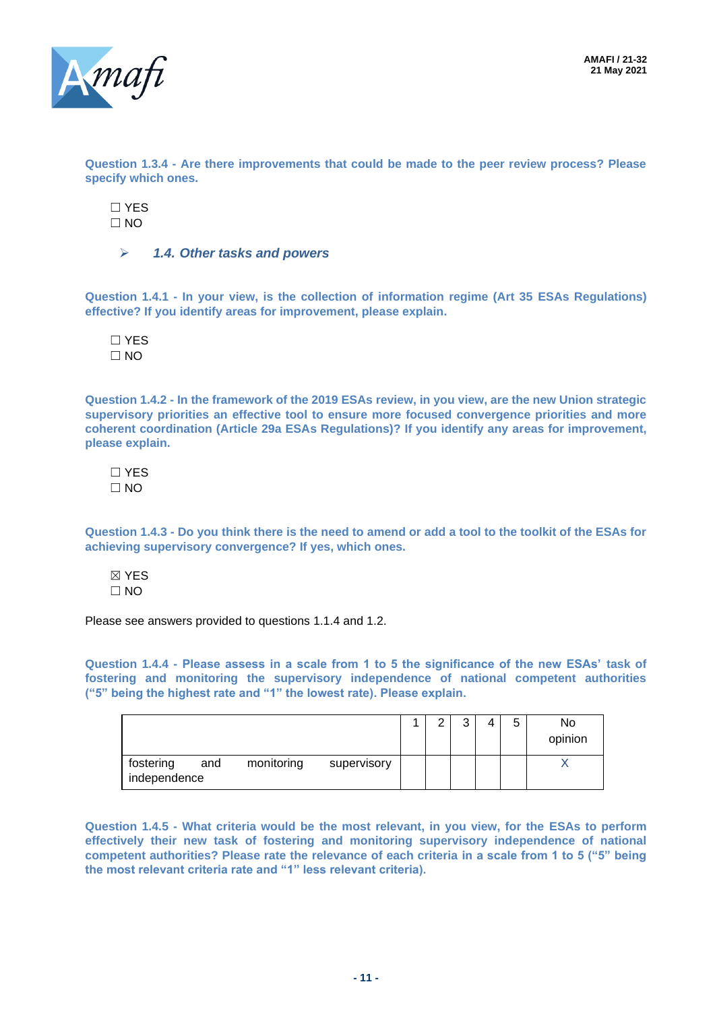

**Question 1.3.4 - Are there improvements that could be made to the peer review process? Please specify which ones.**

☐ YES  $\Box$  NO

➢ *1.4. Other tasks and powers*

**Question 1.4.1 - In your view, is the collection of information regime (Art 35 ESAs Regulations) effective? If you identify areas for improvement, please explain.**

☐ YES  $\Box$  NO

**Question 1.4.2 - In the framework of the 2019 ESAs review, in you view, are the new Union strategic supervisory priorities an effective tool to ensure more focused convergence priorities and more coherent coordination (Article 29a ESAs Regulations)? If you identify any areas for improvement, please explain.**

☐ YES ☐ NO

**Question 1.4.3 - Do you think there is the need to amend or add a tool to the toolkit of the ESAs for achieving supervisory convergence? If yes, which ones.**

☒ YES  $\Box$  NO

Please see answers provided to questions 1.1.4 and 1.2.

**Question 1.4.4 - Please assess in a scale from 1 to 5 the significance of the new ESAs' task of fostering and monitoring the supervisory independence of national competent authorities ("5" being the highest rate and "1" the lowest rate). Please explain.**

|                                                               |  | ⌒ | 5 | No.<br>opinion |
|---------------------------------------------------------------|--|---|---|----------------|
| monitoring<br>fostering<br>and<br>supervisory<br>independence |  |   |   |                |

**Question 1.4.5 - What criteria would be the most relevant, in you view, for the ESAs to perform effectively their new task of fostering and monitoring supervisory independence of national competent authorities? Please rate the relevance of each criteria in a scale from 1 to 5 ("5" being the most relevant criteria rate and "1" less relevant criteria).**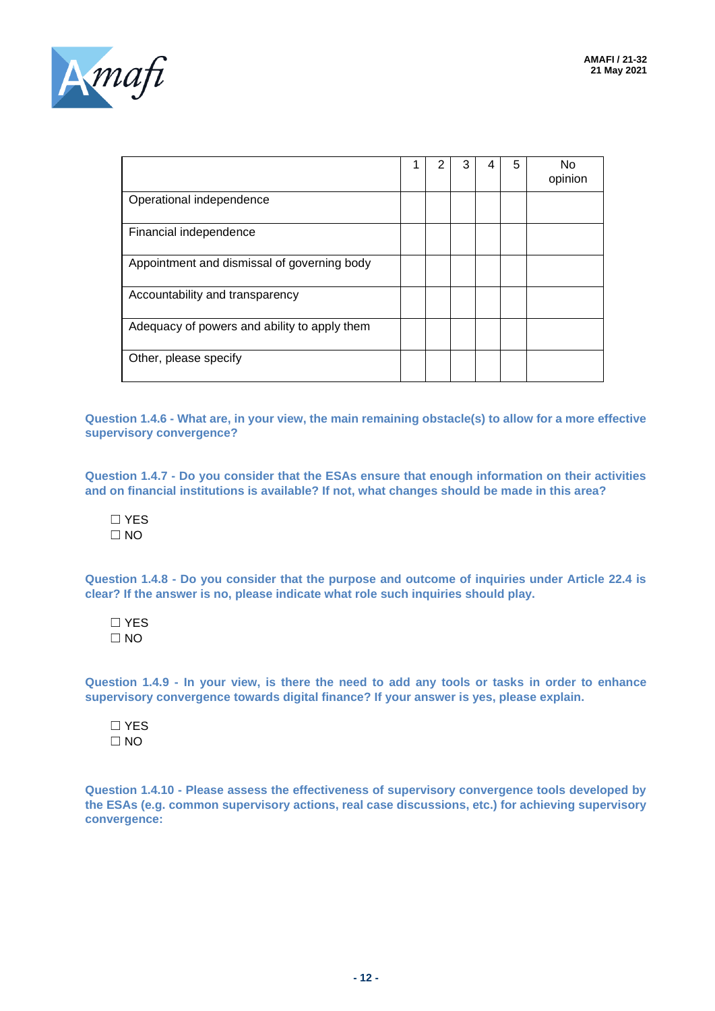

|                                              | 2 | 3 | 5 | No<br>opinion |
|----------------------------------------------|---|---|---|---------------|
| Operational independence                     |   |   |   |               |
| Financial independence                       |   |   |   |               |
| Appointment and dismissal of governing body  |   |   |   |               |
| Accountability and transparency              |   |   |   |               |
| Adequacy of powers and ability to apply them |   |   |   |               |
| Other, please specify                        |   |   |   |               |

**Question 1.4.6 - What are, in your view, the main remaining obstacle(s) to allow for a more effective supervisory convergence?**

**Question 1.4.7 - Do you consider that the ESAs ensure that enough information on their activities and on financial institutions is available? If not, what changes should be made in this area?**

☐ YES  $\Box$  NO

**Question 1.4.8 - Do you consider that the purpose and outcome of inquiries under Article 22.4 is clear? If the answer is no, please indicate what role such inquiries should play.**

☐ YES  $\Box$  NO

**Question 1.4.9 - In your view, is there the need to add any tools or tasks in order to enhance supervisory convergence towards digital finance? If your answer is yes, please explain.**

☐ YES  $\Box$  NO

**Question 1.4.10 - Please assess the effectiveness of supervisory convergence tools developed by the ESAs (e.g. common supervisory actions, real case discussions, etc.) for achieving supervisory convergence:**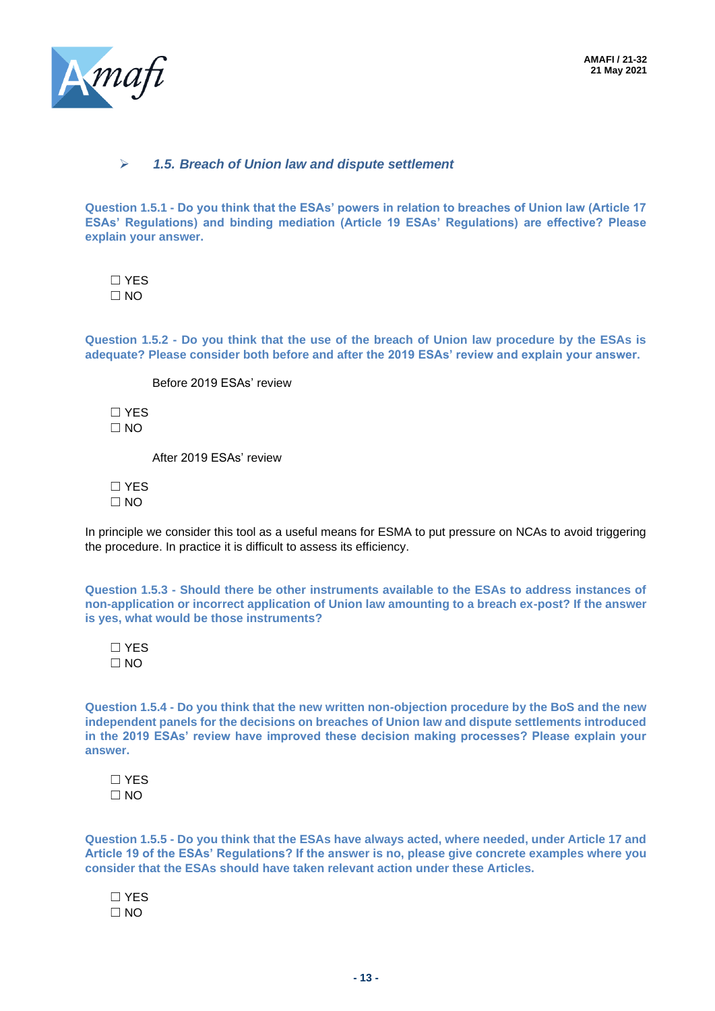

#### ➢ *1.5. Breach of Union law and dispute settlement*

**Question 1.5.1 - Do you think that the ESAs' powers in relation to breaches of Union law (Article 17 ESAs' Regulations) and binding mediation (Article 19 ESAs' Regulations) are effective? Please explain your answer.**

☐ YES  $\Box$  NO

**Question 1.5.2 - Do you think that the use of the breach of Union law procedure by the ESAs is adequate? Please consider both before and after the 2019 ESAs' review and explain your answer.**

Before 2019 ESAs' review

☐ YES  $\Box$  NO

After 2019 ESAs' review

☐ YES  $\square$  NO

In principle we consider this tool as a useful means for ESMA to put pressure on NCAs to avoid triggering the procedure. In practice it is difficult to assess its efficiency.

**Question 1.5.3 - Should there be other instruments available to the ESAs to address instances of non-application or incorrect application of Union law amounting to a breach ex-post? If the answer is yes, what would be those instruments?**

☐ YES  $\Box$  NO

**Question 1.5.4 - Do you think that the new written non-objection procedure by the BoS and the new independent panels for the decisions on breaches of Union law and dispute settlements introduced in the 2019 ESAs' review have improved these decision making processes? Please explain your answer.**

☐ YES  $\Box$  NO

**Question 1.5.5 - Do you think that the ESAs have always acted, where needed, under Article 17 and Article 19 of the ESAs' Regulations? If the answer is no, please give concrete examples where you consider that the ESAs should have taken relevant action under these Articles.**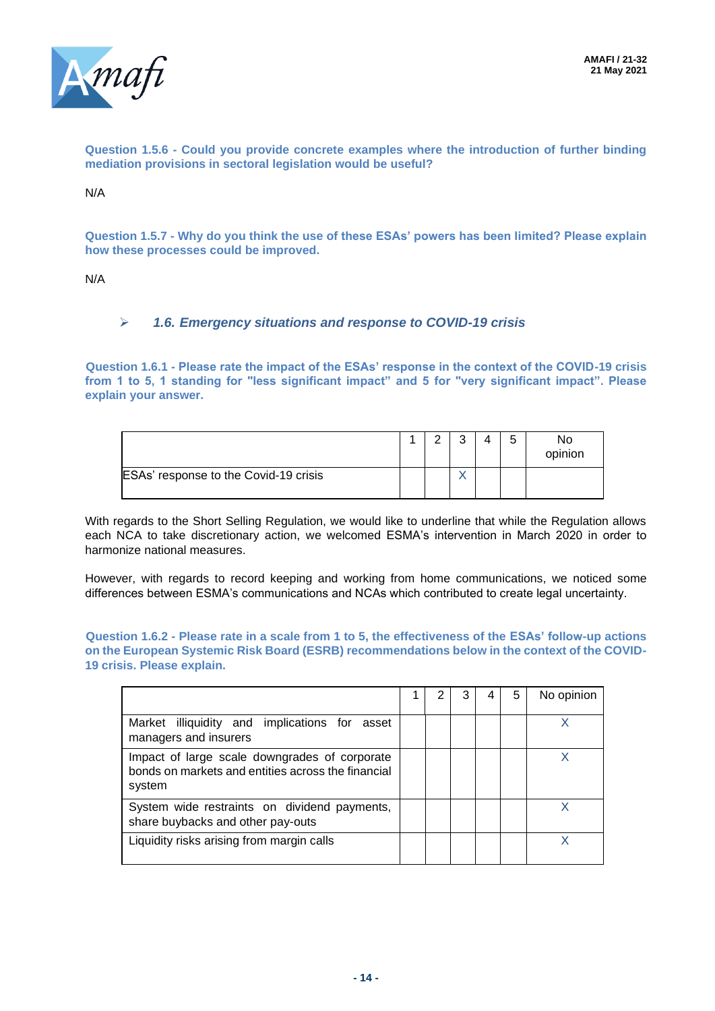

**Question 1.5.6 - Could you provide concrete examples where the introduction of further binding mediation provisions in sectoral legislation would be useful?**

N/A

**Question 1.5.7 - Why do you think the use of these ESAs' powers has been limited? Please explain how these processes could be improved.**

N/A

#### ➢ *1.6. Emergency situations and response to COVID-19 crisis*

**Question 1.6.1 - Please rate the impact of the ESAs' response in the context of the COVID-19 crisis from 1 to 5, 1 standing for "less significant impact" and 5 for "very significant impact". Please explain your answer.**

|                                       | ◠ | ົ | 5 | No<br>opinion |
|---------------------------------------|---|---|---|---------------|
| ESAs' response to the Covid-19 crisis |   |   |   |               |

With regards to the Short Selling Regulation, we would like to underline that while the Regulation allows each NCA to take discretionary action, we welcomed ESMA's intervention in March 2020 in order to harmonize national measures.

However, with regards to record keeping and working from home communications, we noticed some differences between ESMA's communications and NCAs which contributed to create legal uncertainty.

**Question 1.6.2 - Please rate in a scale from 1 to 5, the effectiveness of the ESAs' follow-up actions on the European Systemic Risk Board (ESRB) recommendations below in the context of the COVID-19 crisis. Please explain.**

|                                                                                                               |  |  | 5 | No opinion |
|---------------------------------------------------------------------------------------------------------------|--|--|---|------------|
| Market illiquidity and implications for asset<br>managers and insurers                                        |  |  |   |            |
| Impact of large scale downgrades of corporate<br>bonds on markets and entities across the financial<br>system |  |  |   |            |
| System wide restraints on dividend payments,<br>share buybacks and other pay-outs                             |  |  |   |            |
| Liquidity risks arising from margin calls                                                                     |  |  |   | x          |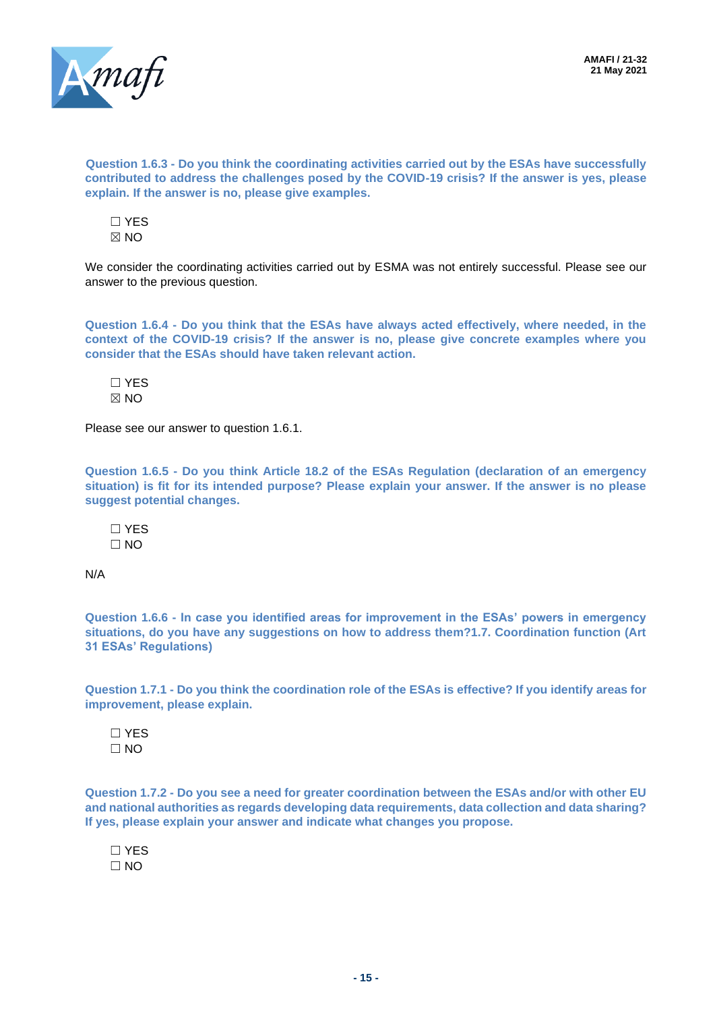

**Question 1.6.3 - Do you think the coordinating activities carried out by the ESAs have successfully contributed to address the challenges posed by the COVID-19 crisis? If the answer is yes, please explain. If the answer is no, please give examples.**

☐ YES  $\times$  NO

We consider the coordinating activities carried out by ESMA was not entirely successful. Please see our answer to the previous question.

**Question 1.6.4 - Do you think that the ESAs have always acted effectively, where needed, in the context of the COVID-19 crisis? If the answer is no, please give concrete examples where you consider that the ESAs should have taken relevant action.**

☐ YES  $\boxtimes$  NO

Please see our answer to question 1.6.1.

**Question 1.6.5 - Do you think Article 18.2 of the ESAs Regulation (declaration of an emergency situation) is fit for its intended purpose? Please explain your answer. If the answer is no please suggest potential changes.**

☐ YES  $\Box$  NO

N/A

**Question 1.6.6 - In case you identified areas for improvement in the ESAs' powers in emergency situations, do you have any suggestions on how to address them?1.7. Coordination function (Art 31 ESAs' Regulations)**

**Question 1.7.1 - Do you think the coordination role of the ESAs is effective? If you identify areas for improvement, please explain.**

☐ YES  $\Box$  NO

**Question 1.7.2 - Do you see a need for greater coordination between the ESAs and/or with other EU and national authorities as regards developing data requirements, data collection and data sharing? If yes, please explain your answer and indicate what changes you propose.**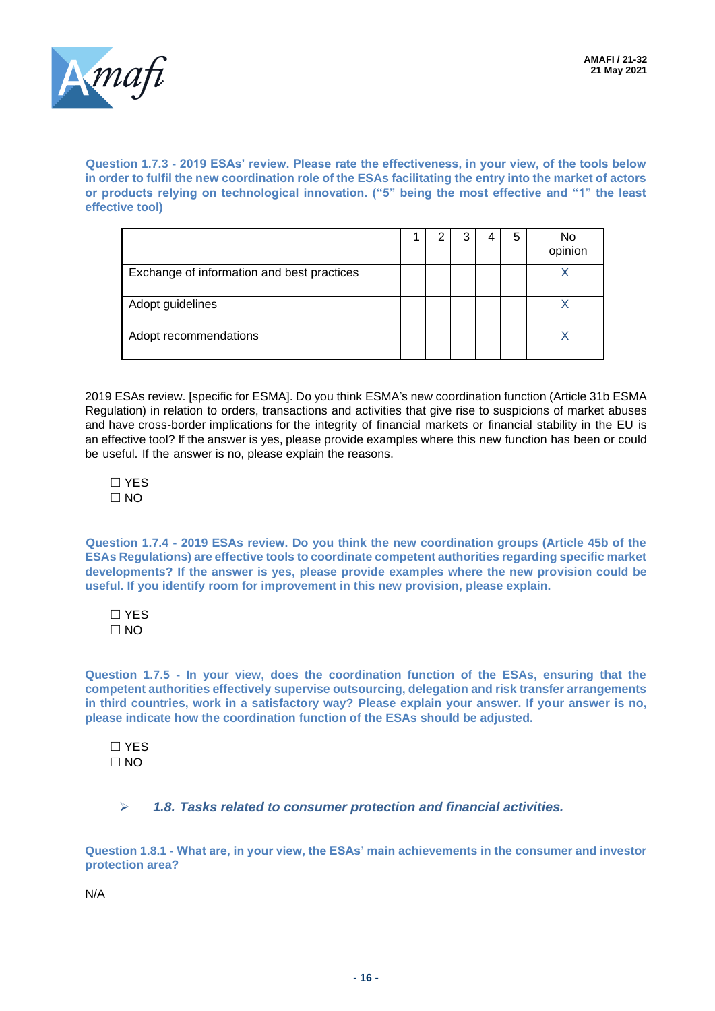

**Question 1.7.3 - 2019 ESAs' review. Please rate the effectiveness, in your view, of the tools below in order to fulfil the new coordination role of the ESAs facilitating the entry into the market of actors or products relying on technological innovation. ("5" being the most effective and "1" the least effective tool)**

|                                            |  |  | 5 | No<br>opinion |
|--------------------------------------------|--|--|---|---------------|
| Exchange of information and best practices |  |  |   |               |
| Adopt guidelines                           |  |  |   |               |
| Adopt recommendations                      |  |  |   |               |

2019 ESAs review. [specific for ESMA]. Do you think ESMA's new coordination function (Article 31b ESMA Regulation) in relation to orders, transactions and activities that give rise to suspicions of market abuses and have cross-border implications for the integrity of financial markets or financial stability in the EU is an effective tool? If the answer is yes, please provide examples where this new function has been or could be useful. If the answer is no, please explain the reasons.

☐ YES  $\Box$  NO

**Question 1.7.4 - 2019 ESAs review. Do you think the new coordination groups (Article 45b of the ESAs Regulations) are effective tools to coordinate competent authorities regarding specific market developments? If the answer is yes, please provide examples where the new provision could be useful. If you identify room for improvement in this new provision, please explain.**

☐ YES  $\Box$  NO

**Question 1.7.5 - In your view, does the coordination function of the ESAs, ensuring that the competent authorities effectively supervise outsourcing, delegation and risk transfer arrangements in third countries, work in a satisfactory way? Please explain your answer. If your answer is no, please indicate how the coordination function of the ESAs should be adjusted.**

☐ YES  $\Box$  NO

➢ *1.8. Tasks related to consumer protection and financial activities.*

**Question 1.8.1 - What are, in your view, the ESAs' main achievements in the consumer and investor protection area?**

N/A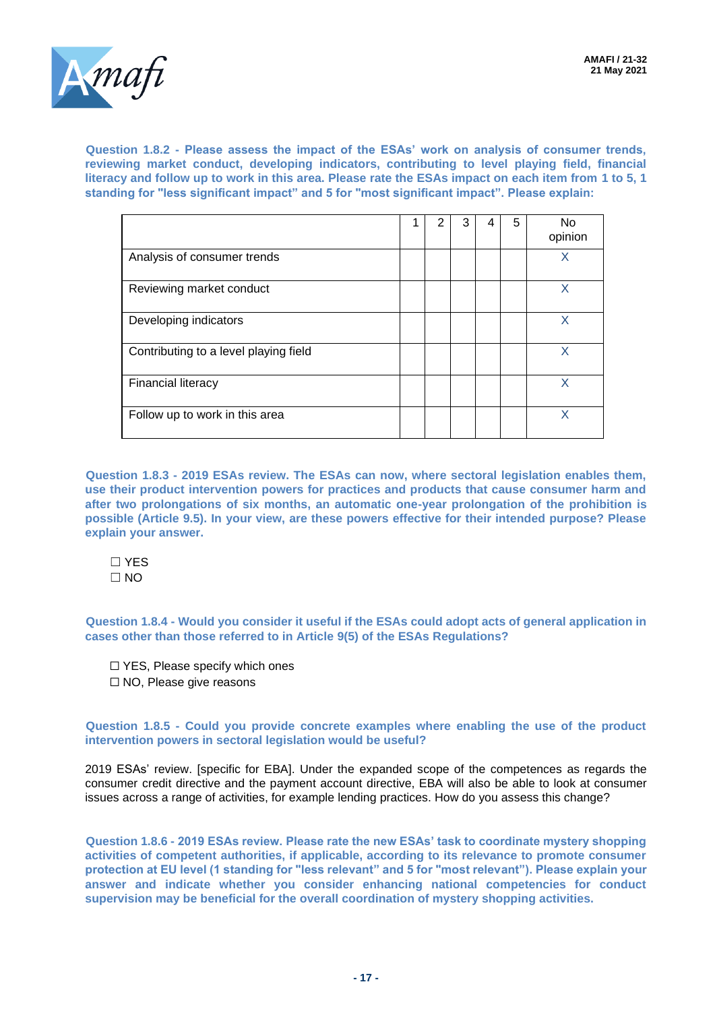

**Question 1.8.2 - Please assess the impact of the ESAs' work on analysis of consumer trends, reviewing market conduct, developing indicators, contributing to level playing field, financial literacy and follow up to work in this area. Please rate the ESAs impact on each item from 1 to 5, 1 standing for "less significant impact" and 5 for "most significant impact". Please explain:**

|                                       |  | 3 | 4 | 5 | <b>No</b><br>opinion |
|---------------------------------------|--|---|---|---|----------------------|
| Analysis of consumer trends           |  |   |   |   | Χ                    |
| Reviewing market conduct              |  |   |   |   | X                    |
| Developing indicators                 |  |   |   |   | x                    |
| Contributing to a level playing field |  |   |   |   | Χ                    |
| <b>Financial literacy</b>             |  |   |   |   | X                    |
| Follow up to work in this area        |  |   |   |   | Χ                    |

**Question 1.8.3 - 2019 ESAs review. The ESAs can now, where sectoral legislation enables them, use their product intervention powers for practices and products that cause consumer harm and after two prolongations of six months, an automatic one-year prolongation of the prohibition is possible (Article 9.5). In your view, are these powers effective for their intended purpose? Please explain your answer.**

☐ YES  $\Box$  NO

**Question 1.8.4 - Would you consider it useful if the ESAs could adopt acts of general application in cases other than those referred to in Article 9(5) of the ESAs Regulations?**

☐ YES, Please specify which ones ☐ NO, Please give reasons

#### **Question 1.8.5 - Could you provide concrete examples where enabling the use of the product intervention powers in sectoral legislation would be useful?**

2019 ESAs' review. [specific for EBA]. Under the expanded scope of the competences as regards the consumer credit directive and the payment account directive, EBA will also be able to look at consumer issues across a range of activities, for example lending practices. How do you assess this change?

**Question 1.8.6 - 2019 ESAs review. Please rate the new ESAs' task to coordinate mystery shopping activities of competent authorities, if applicable, according to its relevance to promote consumer protection at EU level (1 standing for "less relevant" and 5 for "most relevant"). Please explain your answer and indicate whether you consider enhancing national competencies for conduct supervision may be beneficial for the overall coordination of mystery shopping activities.**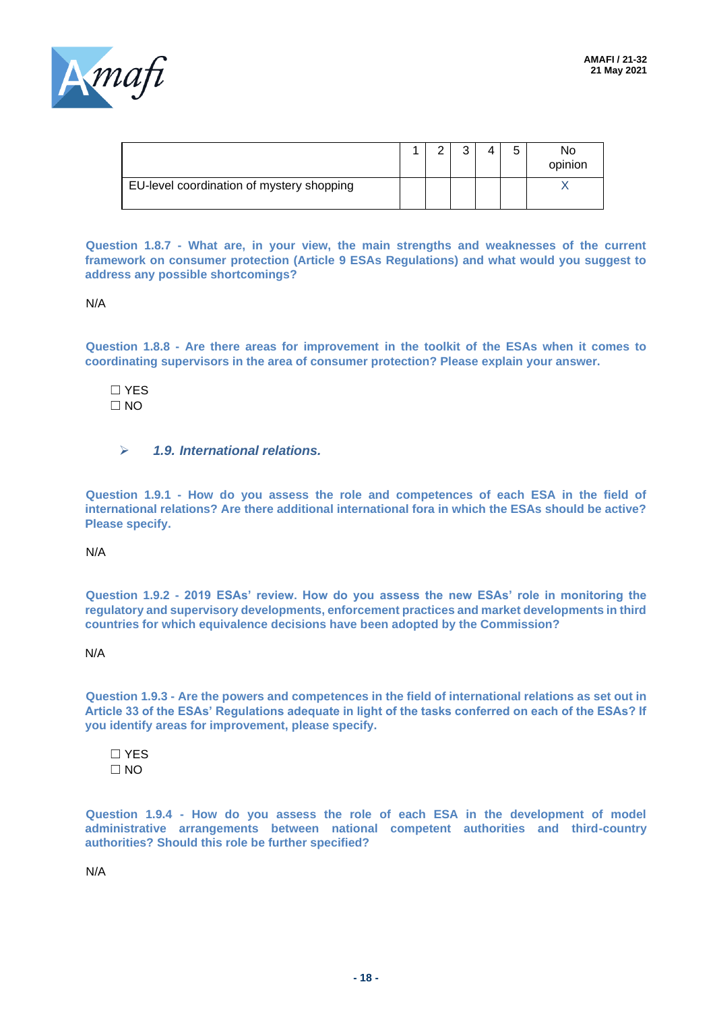

|                                           |  |  | г | No<br>opinion |
|-------------------------------------------|--|--|---|---------------|
| EU-level coordination of mystery shopping |  |  |   |               |

**Question 1.8.7 - What are, in your view, the main strengths and weaknesses of the current framework on consumer protection (Article 9 ESAs Regulations) and what would you suggest to address any possible shortcomings?**

N/A

**Question 1.8.8 - Are there areas for improvement in the toolkit of the ESAs when it comes to coordinating supervisors in the area of consumer protection? Please explain your answer.**

☐ YES  $\Box$  NO

➢ *1.9. International relations.*

**Question 1.9.1 - How do you assess the role and competences of each ESA in the field of international relations? Are there additional international fora in which the ESAs should be active? Please specify.**

N/A

**Question 1.9.2 - 2019 ESAs' review. How do you assess the new ESAs' role in monitoring the regulatory and supervisory developments, enforcement practices and market developments in third countries for which equivalence decisions have been adopted by the Commission?**

N/A

**Question 1.9.3 - Are the powers and competences in the field of international relations as set out in Article 33 of the ESAs' Regulations adequate in light of the tasks conferred on each of the ESAs? If you identify areas for improvement, please specify.**

☐ YES  $\Box$  NO

**Question 1.9.4 - How do you assess the role of each ESA in the development of model administrative arrangements between national competent authorities and third-country authorities? Should this role be further specified?**

N/A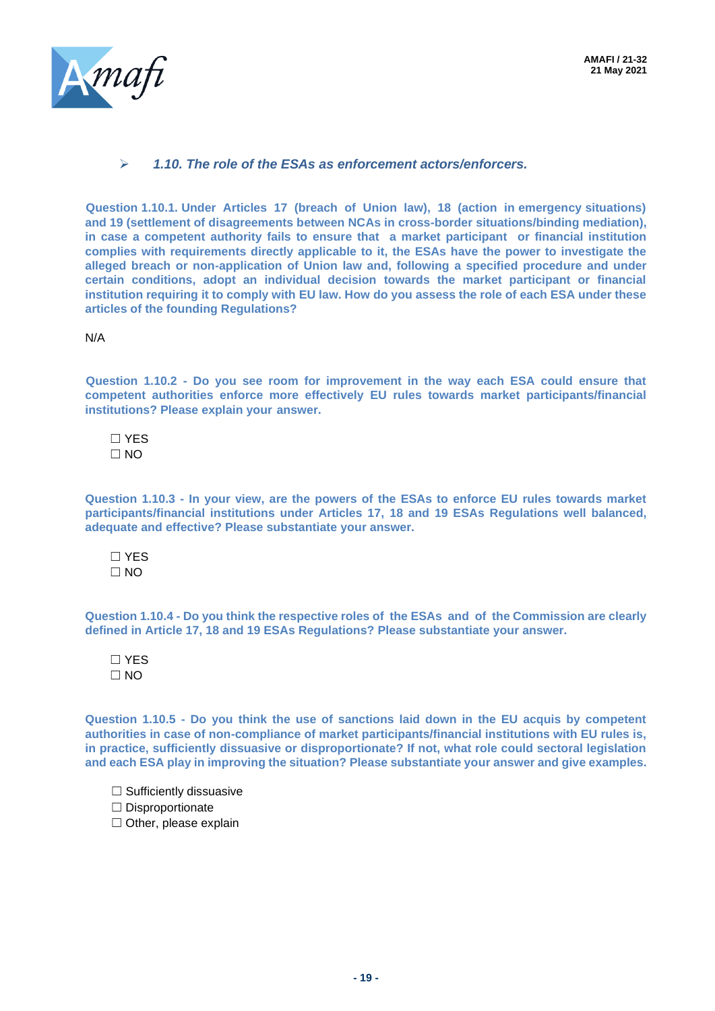

#### ➢ *1.10. The role of the ESAs as enforcement actors/enforcers.*

**Question 1.10.1. Under Articles 17 (breach of Union law), 18 (action in emergency situations) and 19 (settlement of disagreements between NCAs in cross-border situations/binding mediation), in case a competent authority fails to ensure that a market participant or financial institution complies with requirements directly applicable to it, the ESAs have the power to investigate the alleged breach or non-application of Union law and, following a specified procedure and under certain conditions, adopt an individual decision towards the market participant or financial institution requiring it to comply with EU law. How do you assess the role of each ESA under these articles of the founding Regulations?**

N/A

**Question 1.10.2 - Do you see room for improvement in the way each ESA could ensure that competent authorities enforce more effectively EU rules towards market participants/financial institutions? Please explain your answer.**

☐ YES  $\square$  NO

**Question 1.10.3 - In your view, are the powers of the ESAs to enforce EU rules towards market participants/financial institutions under Articles 17, 18 and 19 ESAs Regulations well balanced, adequate and effective? Please substantiate your answer.**

☐ YES  $\Box$  NO

**Question 1.10.4 - Do you think the respective roles of the ESAs and of the Commission are clearly defined in Article 17, 18 and 19 ESAs Regulations? Please substantiate your answer.**

☐ YES  $\Box$  NO

**Question 1.10.5 - Do you think the use of sanctions laid down in the EU acquis by competent authorities in case of non-compliance of market participants/financial institutions with EU rules is, in practice, sufficiently dissuasive or disproportionate? If not, what role could sectoral legislation and each ESA play in improving the situation? Please substantiate your answer and give examples.**

 $\Box$  Sufficiently dissuasive

☐ Disproportionate

 $\Box$  Other, please explain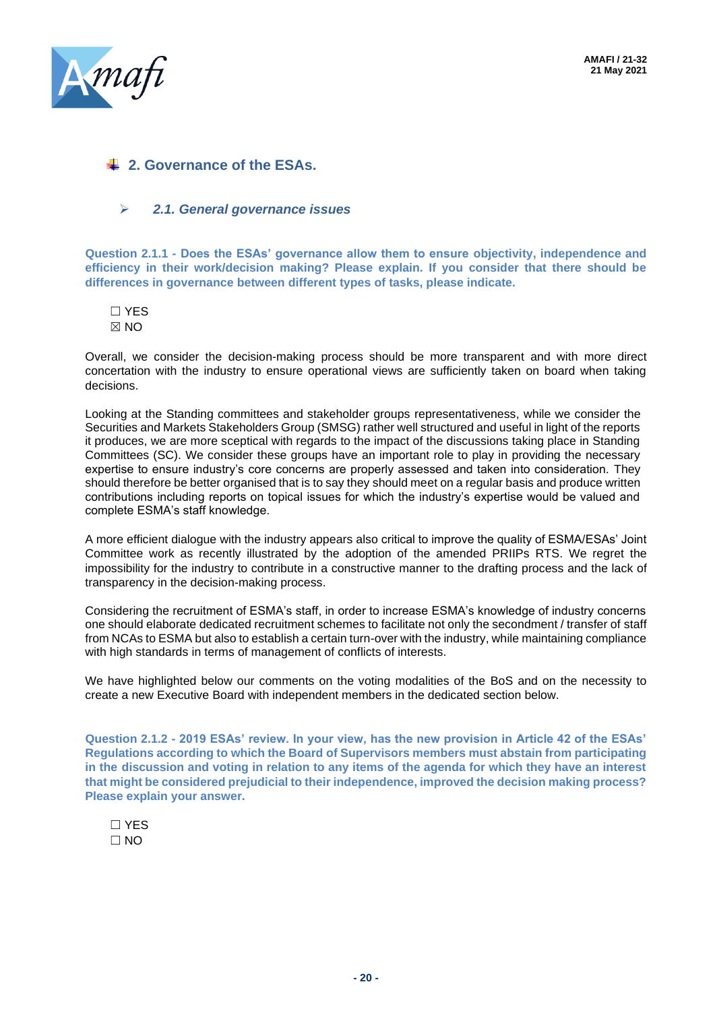

# **2. Governance of the ESAs.**

#### ➢ *2.1. General governance issues*

**Question 2.1.1 - Does the ESAs' governance allow them to ensure objectivity, independence and efficiency in their work/decision making? Please explain. If you consider that there should be differences in governance between different types of tasks, please indicate.**

☐ YES  $\boxtimes$  NO

Overall, we consider the decision-making process should be more transparent and with more direct concertation with the industry to ensure operational views are sufficiently taken on board when taking decisions.

Looking at the Standing committees and stakeholder groups representativeness, while we consider the Securities and Markets Stakeholders Group (SMSG) rather well structured and useful in light of the reports it produces, we are more sceptical with regards to the impact of the discussions taking place in Standing Committees (SC). We consider these groups have an important role to play in providing the necessary expertise to ensure industry's core concerns are properly assessed and taken into consideration. They should therefore be better organised that is to say they should meet on a regular basis and produce written contributions including reports on topical issues for which the industry's expertise would be valued and complete ESMA's staff knowledge.

A more efficient dialogue with the industry appears also critical to improve the quality of ESMA/ESAs' Joint Committee work as recently illustrated by the adoption of the amended PRIIPs RTS. We regret the impossibility for the industry to contribute in a constructive manner to the drafting process and the lack of transparency in the decision-making process.

Considering the recruitment of ESMA's staff, in order to increase ESMA's knowledge of industry concerns one should elaborate dedicated recruitment schemes to facilitate not only the secondment / transfer of staff from NCAs to ESMA but also to establish a certain turn-over with the industry, while maintaining compliance with high standards in terms of management of conflicts of interests.

We have highlighted below our comments on the voting modalities of the BoS and on the necessity to create a new Executive Board with independent members in the dedicated section below.

**Question 2.1.2 - 2019 ESAs' review. In your view, has the new provision in Article 42 of the ESAs' Regulations according to which the Board of Supervisors members must abstain from participating in the discussion and voting in relation to any items of the agenda for which they have an interest that might be considered prejudicial to their independence, improved the decision making process? Please explain your answer.**

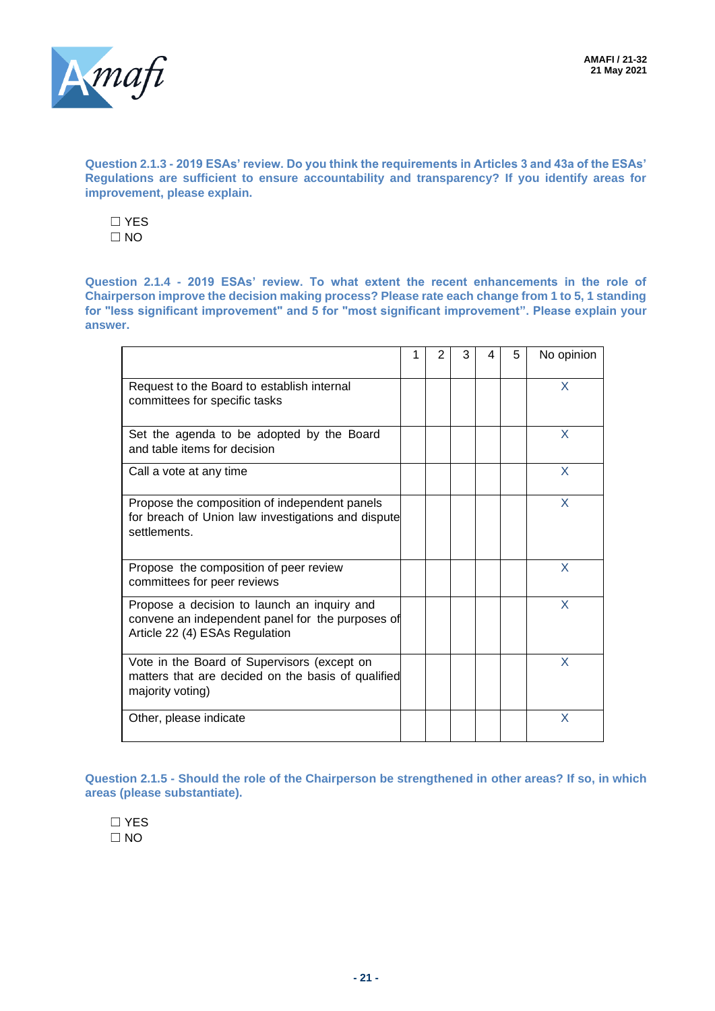

**Question 2.1.3 - 2019 ESAs' review. Do you think the requirements in Articles 3 and 43a of the ESAs' Regulations are sufficient to ensure accountability and transparency? If you identify areas for improvement, please explain.**

☐ YES  $\Box$  NO

**Question 2.1.4 - 2019 ESAs' review. To what extent the recent enhancements in the role of Chairperson improve the decision making process? Please rate each change from 1 to 5, 1 standing for "less significant improvement" and 5 for "most significant improvement". Please explain your answer.**

|                                                                                                                                   | 2 | 3 | 4 | 5 | No opinion |
|-----------------------------------------------------------------------------------------------------------------------------------|---|---|---|---|------------|
| Request to the Board to establish internal<br>committees for specific tasks                                                       |   |   |   |   | X          |
| Set the agenda to be adopted by the Board<br>and table items for decision                                                         |   |   |   |   | X          |
| Call a vote at any time                                                                                                           |   |   |   |   | X          |
| Propose the composition of independent panels<br>for breach of Union law investigations and dispute<br>settlements.               |   |   |   |   | X          |
| Propose the composition of peer review<br>committees for peer reviews                                                             |   |   |   |   | X          |
| Propose a decision to launch an inquiry and<br>convene an independent panel for the purposes of<br>Article 22 (4) ESAs Regulation |   |   |   |   | X          |
| Vote in the Board of Supervisors (except on<br>matters that are decided on the basis of qualified<br>majority voting)             |   |   |   |   | X          |
| Other, please indicate                                                                                                            |   |   |   |   | X          |

**Question 2.1.5 - Should the role of the Chairperson be strengthened in other areas? If so, in which areas (please substantiate).**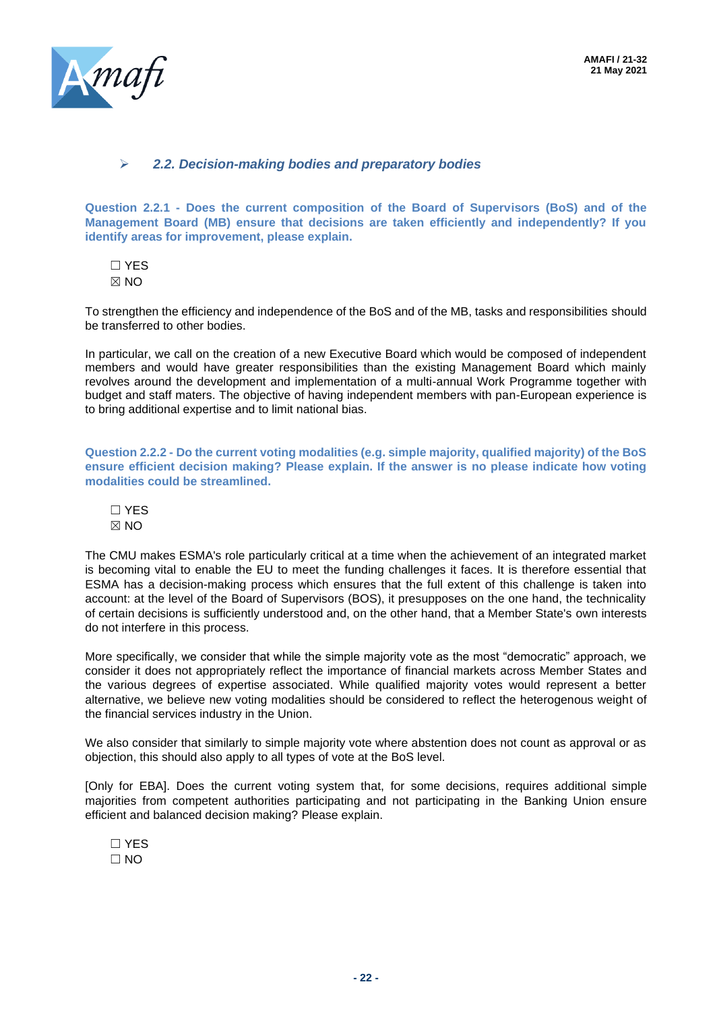

#### ➢ *2.2. Decision-making bodies and preparatory bodies*

**Question 2.2.1 - Does the current composition of the Board of Supervisors (BoS) and of the Management Board (MB) ensure that decisions are taken efficiently and independently? If you identify areas for improvement, please explain.**

☐ YES  $M \times N$ 

To strengthen the efficiency and independence of the BoS and of the MB, tasks and responsibilities should be transferred to other bodies.

In particular, we call on the creation of a new Executive Board which would be composed of independent members and would have greater responsibilities than the existing Management Board which mainly revolves around the development and implementation of a multi-annual Work Programme together with budget and staff maters. The objective of having independent members with pan-European experience is to bring additional expertise and to limit national bias.

**Question 2.2.2 - Do the current voting modalities (e.g. simple majority, qualified majority) of the BoS ensure efficient decision making? Please explain. If the answer is no please indicate how voting modalities could be streamlined.**

☐ YES  $\boxtimes$  NO

The CMU makes ESMA's role particularly critical at a time when the achievement of an integrated market is becoming vital to enable the EU to meet the funding challenges it faces. It is therefore essential that ESMA has a decision-making process which ensures that the full extent of this challenge is taken into account: at the level of the Board of Supervisors (BOS), it presupposes on the one hand, the technicality of certain decisions is sufficiently understood and, on the other hand, that a Member State's own interests do not interfere in this process.

More specifically, we consider that while the simple majority vote as the most "democratic" approach, we consider it does not appropriately reflect the importance of financial markets across Member States and the various degrees of expertise associated. While qualified majority votes would represent a better alternative, we believe new voting modalities should be considered to reflect the heterogenous weight of the financial services industry in the Union.

We also consider that similarly to simple majority vote where abstention does not count as approval or as objection, this should also apply to all types of vote at the BoS level.

[Only for EBA]. Does the current voting system that, for some decisions, requires additional simple majorities from competent authorities participating and not participating in the Banking Union ensure efficient and balanced decision making? Please explain.

☐ YES ☐ NO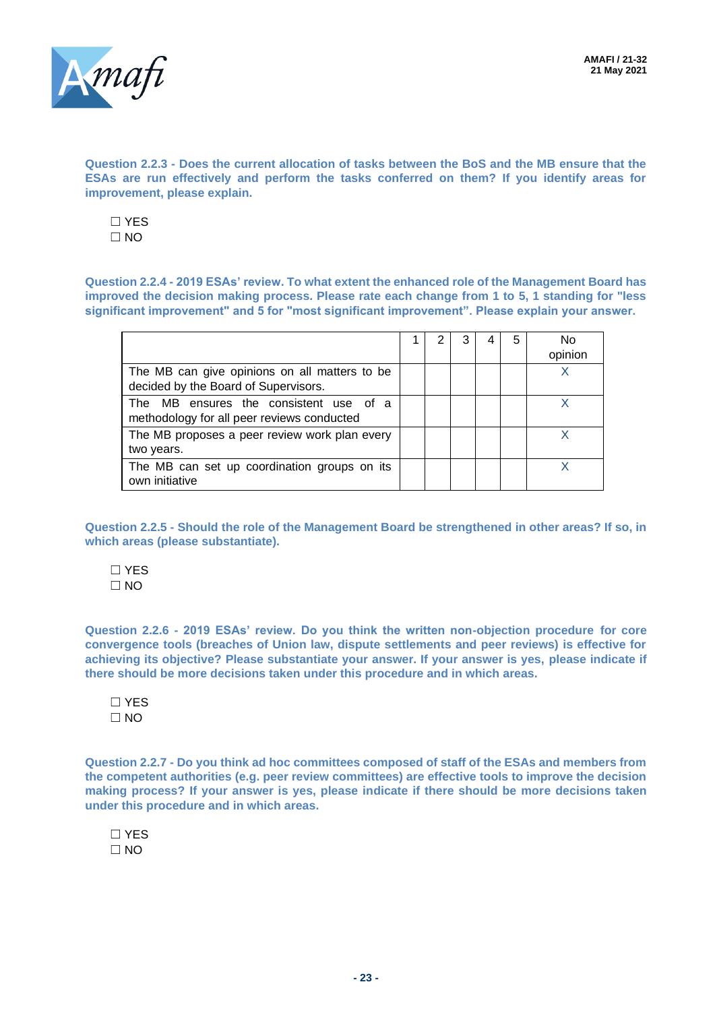

**Question 2.2.3 - Does the current allocation of tasks between the BoS and the MB ensure that the ESAs are run effectively and perform the tasks conferred on them? If you identify areas for improvement, please explain.**

☐ YES  $\Box$  NO

**Question 2.2.4 - 2019 ESAs' review. To what extent the enhanced role of the Management Board has improved the decision making process. Please rate each change from 1 to 5, 1 standing for "less significant improvement" and 5 for "most significant improvement". Please explain your answer.**

|                                                                                       |  | 3 | 5 | No<br>opinion |
|---------------------------------------------------------------------------------------|--|---|---|---------------|
| The MB can give opinions on all matters to be<br>decided by the Board of Supervisors. |  |   |   |               |
| The MB ensures the consistent use of a<br>methodology for all peer reviews conducted  |  |   |   |               |
| The MB proposes a peer review work plan every<br>two years.                           |  |   |   | x             |
| The MB can set up coordination groups on its<br>own initiative                        |  |   |   |               |

**Question 2.2.5 - Should the role of the Management Board be strengthened in other areas? If so, in which areas (please substantiate).**

☐ YES  $\Box$  NO

**Question 2.2.6 - 2019 ESAs' review. Do you think the written non-objection procedure for core convergence tools (breaches of Union law, dispute settlements and peer reviews) is effective for achieving its objective? Please substantiate your answer. If your answer is yes, please indicate if there should be more decisions taken under this procedure and in which areas.**

☐ YES  $\Box$  NO

**Question 2.2.7 - Do you think ad hoc committees composed of staff of the ESAs and members from the competent authorities (e.g. peer review committees) are effective tools to improve the decision making process? If your answer is yes, please indicate if there should be more decisions taken under this procedure and in which areas.**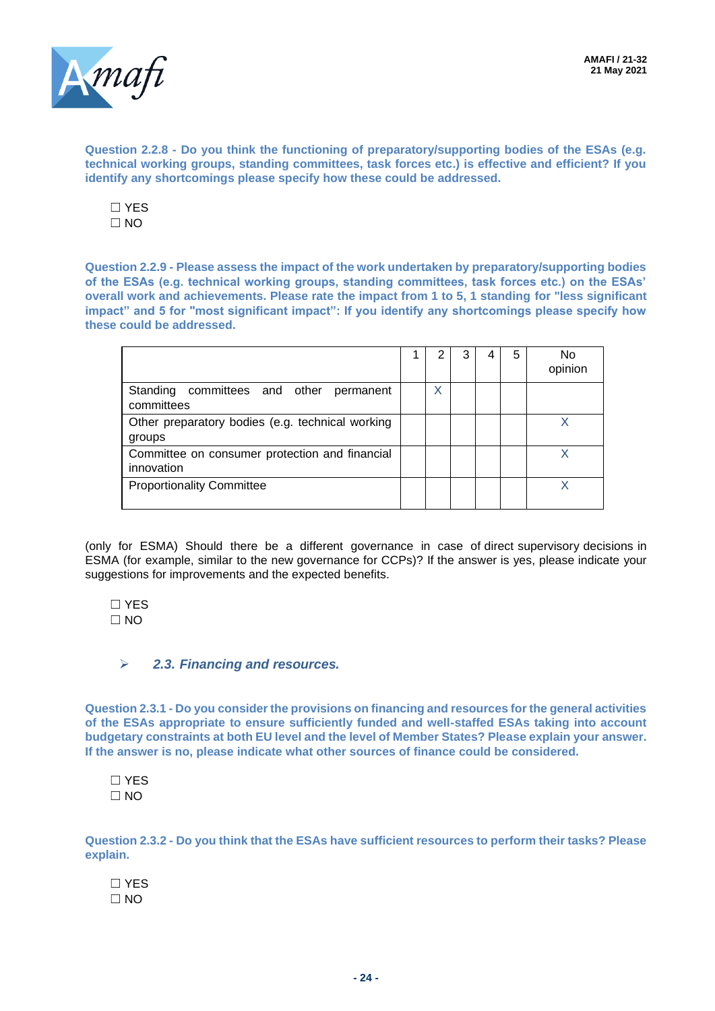

**Question 2.2.8 - Do you think the functioning of preparatory/supporting bodies of the ESAs (e.g. technical working groups, standing committees, task forces etc.) is effective and efficient? If you identify any shortcomings please specify how these could be addressed.**

☐ YES  $\Box$  NO

**Question 2.2.9 - Please assess the impact of the work undertaken by preparatory/supporting bodies of the ESAs (e.g. technical working groups, standing committees, task forces etc.) on the ESAs' overall work and achievements. Please rate the impact from 1 to 5, 1 standing for "less significant impact" and 5 for "most significant impact": If you identify any shortcomings please specify how these could be addressed.**

|                                                              |   |  | 5 | No<br>opinion |
|--------------------------------------------------------------|---|--|---|---------------|
| Standing committees and other permanent<br>committees        | X |  |   |               |
| Other preparatory bodies (e.g. technical working<br>groups   |   |  |   | Χ             |
| Committee on consumer protection and financial<br>innovation |   |  |   | χ             |
| <b>Proportionality Committee</b>                             |   |  |   | X             |

(only for ESMA) Should there be a different governance in case of direct supervisory decisions in ESMA (for example, similar to the new governance for CCPs)? If the answer is yes, please indicate your suggestions for improvements and the expected benefits.

☐ YES  $\Box$  NO

➢ *2.3. Financing and resources.*

**Question 2.3.1 - Do you consider the provisions on financing and resources for the general activities of the ESAs appropriate to ensure sufficiently funded and well-staffed ESAs taking into account budgetary constraints at both EU level and the level of Member States? Please explain your answer. If the answer is no, please indicate what other sources of finance could be considered.**

☐ YES  $\Box$  NO

**Question 2.3.2 - Do you think that the ESAs have sufficient resources to perform their tasks? Please explain.**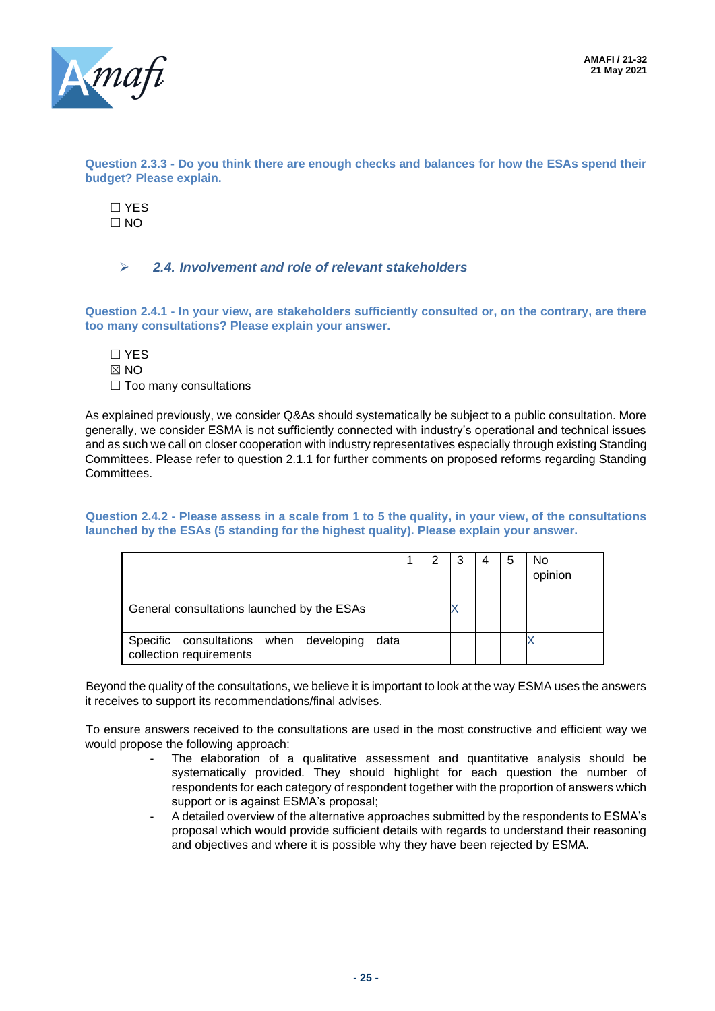**AMAFI / 21-32 21 May 2021**



**Question 2.3.3 - Do you think there are enough checks and balances for how the ESAs spend their budget? Please explain.**

☐ YES  $\Box$  NO

#### ➢ *2.4. Involvement and role of relevant stakeholders*

**Question 2.4.1 - In your view, are stakeholders sufficiently consulted or, on the contrary, are there too many consultations? Please explain your answer.**

- ☐ YES
- $\boxtimes$  NO
- □ Too many consultations

As explained previously, we consider Q&As should systematically be subject to a public consultation. More generally, we consider ESMA is not sufficiently connected with industry's operational and technical issues and as such we call on closer cooperation with industry representatives especially through existing Standing Committees. Please refer to question 2.1.1 for further comments on proposed reforms regarding Standing **Committees** 

#### **Question 2.4.2 - Please assess in a scale from 1 to 5 the quality, in your view, of the consultations launched by the ESAs (5 standing for the highest quality). Please explain your answer.**

|                                                                           | 2 | 3 | 4 | 5 | <b>No</b><br>opinion |
|---------------------------------------------------------------------------|---|---|---|---|----------------------|
| General consultations launched by the ESAs                                |   |   |   |   |                      |
| Specific consultations when developing<br>data<br>collection requirements |   |   |   |   |                      |

Beyond the quality of the consultations, we believe it is important to look at the way ESMA uses the answers it receives to support its recommendations/final advises.

To ensure answers received to the consultations are used in the most constructive and efficient way we would propose the following approach:

- The elaboration of a qualitative assessment and quantitative analysis should be systematically provided. They should highlight for each question the number of respondents for each category of respondent together with the proportion of answers which support or is against ESMA's proposal;
- A detailed overview of the alternative approaches submitted by the respondents to ESMA's proposal which would provide sufficient details with regards to understand their reasoning and objectives and where it is possible why they have been rejected by ESMA.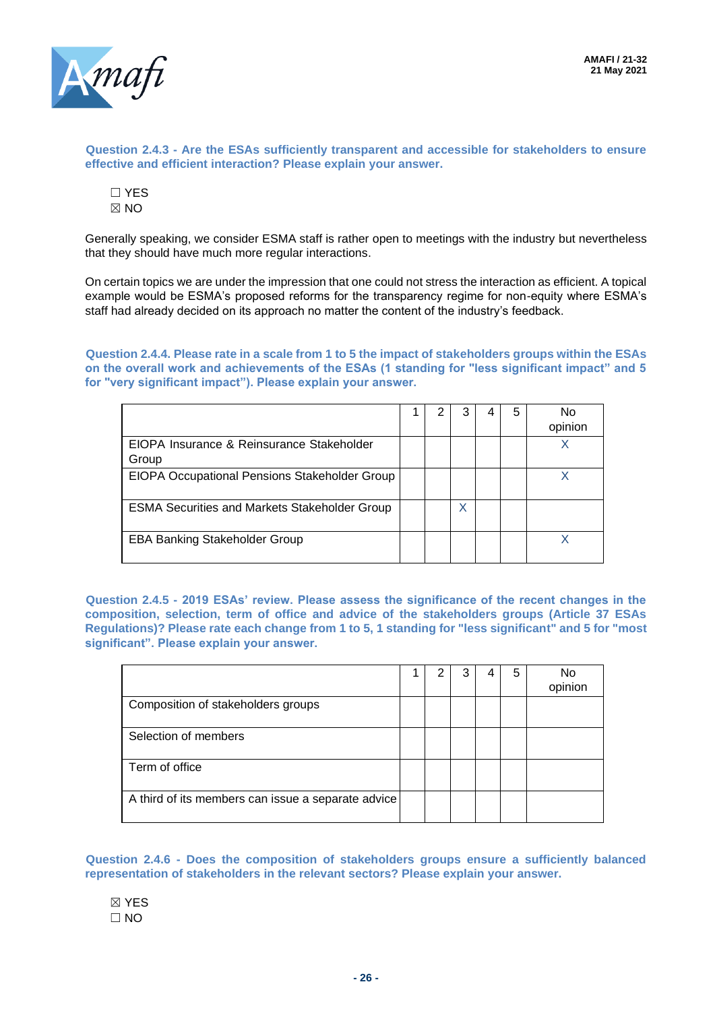

**Question 2.4.3 - Are the ESAs sufficiently transparent and accessible for stakeholders to ensure effective and efficient interaction? Please explain your answer.**

| ۷ |
|---|

Generally speaking, we consider ESMA staff is rather open to meetings with the industry but nevertheless that they should have much more regular interactions.

On certain topics we are under the impression that one could not stress the interaction as efficient. A topical example would be ESMA's proposed reforms for the transparency regime for non-equity where ESMA's staff had already decided on its approach no matter the content of the industry's feedback.

**Question 2.4.4. Please rate in a scale from 1 to 5 the impact of stakeholders groups within the ESAs on the overall work and achievements of the ESAs (1 standing for "less significant impact" and 5 for "very significant impact"). Please explain your answer.**

|                                                      |  |   | 5 | N٥<br>opinion |
|------------------------------------------------------|--|---|---|---------------|
| EIOPA Insurance & Reinsurance Stakeholder<br>Group   |  |   |   |               |
| EIOPA Occupational Pensions Stakeholder Group        |  |   |   |               |
| <b>ESMA Securities and Markets Stakeholder Group</b> |  | Χ |   |               |
| <b>EBA Banking Stakeholder Group</b>                 |  |   |   |               |

**Question 2.4.5 - 2019 ESAs' review. Please assess the significance of the recent changes in the composition, selection, term of office and advice of the stakeholders groups (Article 37 ESAs Regulations)? Please rate each change from 1 to 5, 1 standing for "less significant" and 5 for "most significant". Please explain your answer.**

|                                                    |  |  | 5 | No<br>opinion |
|----------------------------------------------------|--|--|---|---------------|
| Composition of stakeholders groups                 |  |  |   |               |
| Selection of members                               |  |  |   |               |
| Term of office                                     |  |  |   |               |
| A third of its members can issue a separate advice |  |  |   |               |

**Question 2.4.6 - Does the composition of stakeholders groups ensure a sufficiently balanced representation of stakeholders in the relevant sectors? Please explain your answer.**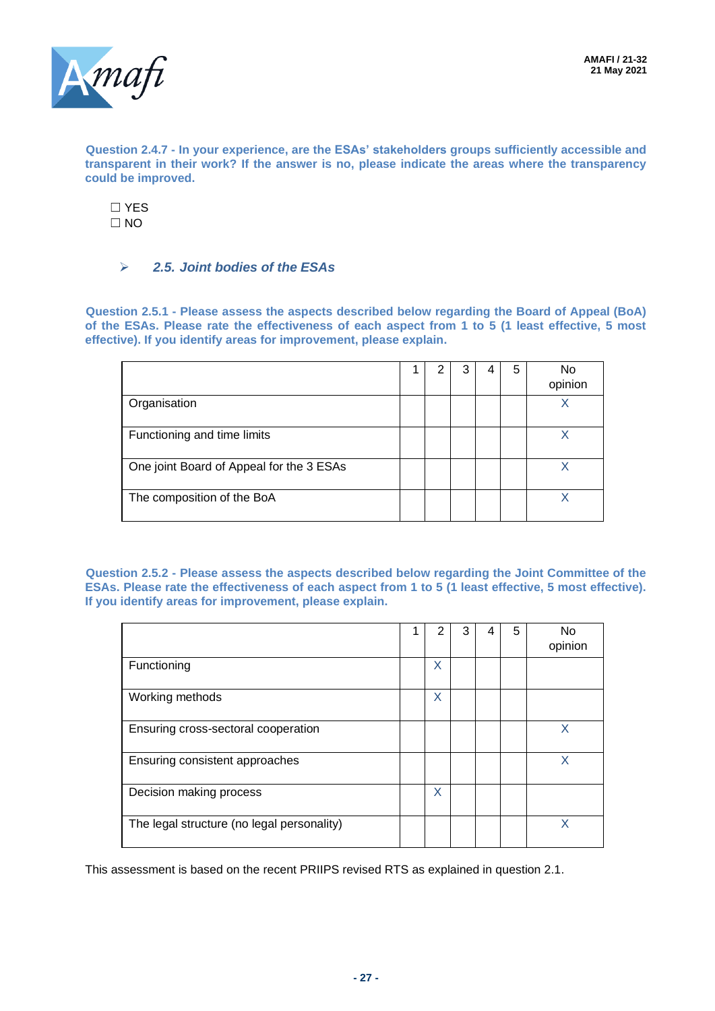

**Question 2.4.7 - In your experience, are the ESAs' stakeholders groups sufficiently accessible and transparent in their work? If the answer is no, please indicate the areas where the transparency could be improved.**

☐ YES  $\Box$  NO

## ➢ *2.5. Joint bodies of the ESAs*

**Question 2.5.1 - Please assess the aspects described below regarding the Board of Appeal (BoA) of the ESAs. Please rate the effectiveness of each aspect from 1 to 5 (1 least effective, 5 most effective). If you identify areas for improvement, please explain.**

|                                          |  |  | 5 | No<br>opinion |
|------------------------------------------|--|--|---|---------------|
| Organisation                             |  |  |   |               |
| Functioning and time limits              |  |  |   |               |
| One joint Board of Appeal for the 3 ESAs |  |  |   | x             |
| The composition of the BoA               |  |  |   |               |

**Question 2.5.2 - Please assess the aspects described below regarding the Joint Committee of the ESAs. Please rate the effectiveness of each aspect from 1 to 5 (1 least effective, 5 most effective). If you identify areas for improvement, please explain.**

|                                            | 2 | 3 | 5 | No<br>opinion |
|--------------------------------------------|---|---|---|---------------|
| Functioning                                | X |   |   |               |
| Working methods                            | X |   |   |               |
| Ensuring cross-sectoral cooperation        |   |   |   | X             |
| Ensuring consistent approaches             |   |   |   | x             |
| Decision making process                    | X |   |   |               |
| The legal structure (no legal personality) |   |   |   |               |

This assessment is based on the recent PRIIPS revised RTS as explained in question 2.1.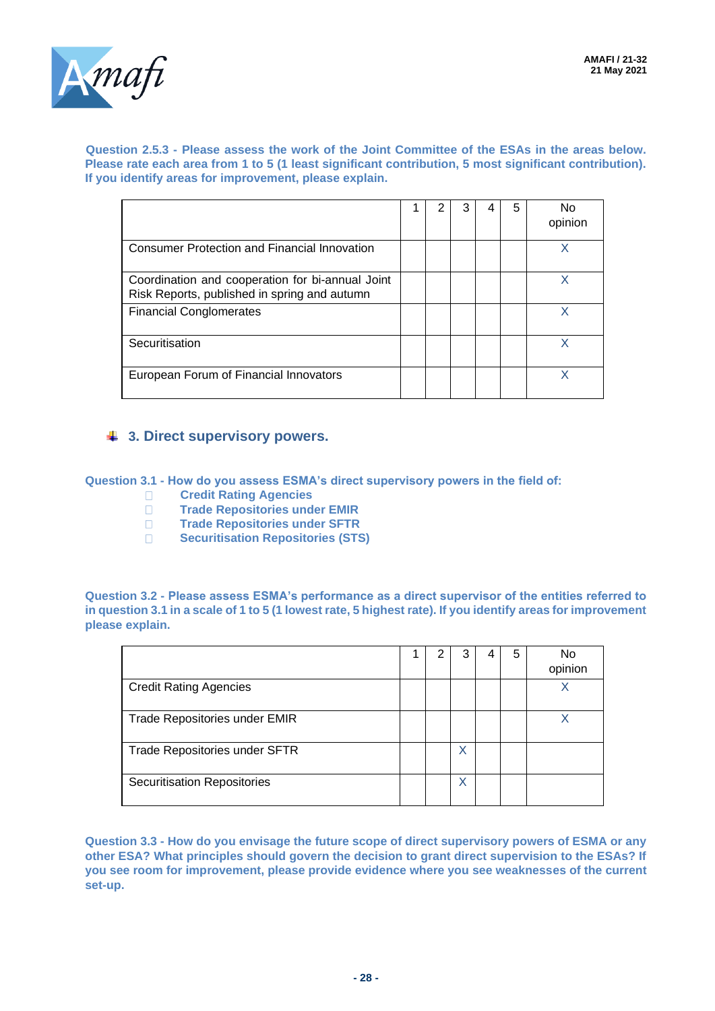

#### **Question 2.5.3 - Please assess the work of the Joint Committee of the ESAs in the areas below. Please rate each area from 1 to 5 (1 least significant contribution, 5 most significant contribution). If you identify areas for improvement, please explain.**

|                                                                                                  |  |  | 5 | opinion |
|--------------------------------------------------------------------------------------------------|--|--|---|---------|
| <b>Consumer Protection and Financial Innovation</b>                                              |  |  |   |         |
| Coordination and cooperation for bi-annual Joint<br>Risk Reports, published in spring and autumn |  |  |   |         |
| <b>Financial Conglomerates</b>                                                                   |  |  |   |         |
| Securitisation                                                                                   |  |  |   |         |
| European Forum of Financial Innovators                                                           |  |  |   |         |

# **3. Direct supervisory powers.**

**Question 3.1 - How do you assess ESMA's direct supervisory powers in the field of:**

- **Credit Rating Agencies**
- **Trade Repositories under EMIR**
- **Trade Repositories under SFTR**
- **BECALLET SECULTER SECULTER SECULTER SECULTER SECULTER SECULTER SECULTER SECULTER SECULTER SECULTER SECULTER SECULI**

**Question 3.2 - Please assess ESMA's performance as a direct supervisor of the entities referred to in question 3.1 in a scale of 1 to 5 (1 lowest rate, 5 highest rate). If you identify areas for improvement please explain.**

|                                    |  |   | 5 | No<br>opinion |
|------------------------------------|--|---|---|---------------|
| <b>Credit Rating Agencies</b>      |  |   |   | Х             |
| Trade Repositories under EMIR      |  |   |   |               |
| Trade Repositories under SFTR      |  | Х |   |               |
| <b>Securitisation Repositories</b> |  | X |   |               |

**Question 3.3 - How do you envisage the future scope of direct supervisory powers of ESMA or any other ESA? What principles should govern the decision to grant direct supervision to the ESAs? If you see room for improvement, please provide evidence where you see weaknesses of the current set-up.**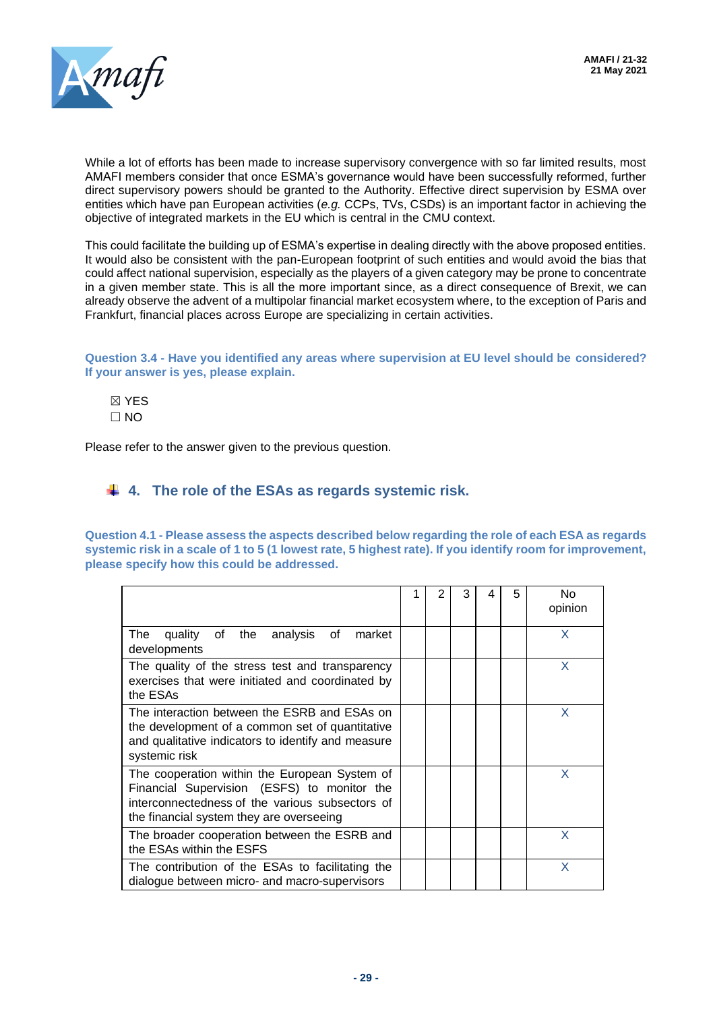

While a lot of efforts has been made to increase supervisory convergence with so far limited results, most AMAFI members consider that once ESMA's governance would have been successfully reformed, further direct supervisory powers should be granted to the Authority. Effective direct supervision by ESMA over entities which have pan European activities (*e.g.* CCPs, TVs, CSDs) is an important factor in achieving the objective of integrated markets in the EU which is central in the CMU context.

This could facilitate the building up of ESMA's expertise in dealing directly with the above proposed entities. It would also be consistent with the pan-European footprint of such entities and would avoid the bias that could affect national supervision, especially as the players of a given category may be prone to concentrate in a given member state. This is all the more important since, as a direct consequence of Brexit, we can already observe the advent of a multipolar financial market ecosystem where, to the exception of Paris and Frankfurt, financial places across Europe are specializing in certain activities.

**Question 3.4 - Have you identified any areas where supervision at EU level should be considered? If your answer is yes, please explain.**

☒ YES  $\Box$  NO

Please refer to the answer given to the previous question.

# **4. The role of the ESAs as regards systemic risk.**

**Question 4.1 - Please assess the aspects described below regarding the role of each ESA as regards systemic risk in a scale of 1 to 5 (1 lowest rate, 5 highest rate). If you identify room for improvement, please specify how this could be addressed.**

|                                                                                                                                                                                             | 1 | 2 | 3 | 5 | No.<br>opinion |
|---------------------------------------------------------------------------------------------------------------------------------------------------------------------------------------------|---|---|---|---|----------------|
| The<br>quality of the analysis of<br>market<br>developments                                                                                                                                 |   |   |   |   | X              |
| The quality of the stress test and transparency<br>exercises that were initiated and coordinated by<br>the ESAs                                                                             |   |   |   |   | X              |
| The interaction between the ESRB and ESAs on<br>the development of a common set of quantitative<br>and qualitative indicators to identify and measure<br>systemic risk                      |   |   |   |   | X              |
| The cooperation within the European System of<br>Financial Supervision (ESFS) to monitor the<br>interconnectedness of the various subsectors of<br>the financial system they are overseeing |   |   |   |   | X              |
| The broader cooperation between the ESRB and<br>the ESAs within the ESFS                                                                                                                    |   |   |   |   | X              |
| The contribution of the ESAs to facilitating the<br>dialogue between micro- and macro-supervisors                                                                                           |   |   |   |   | X              |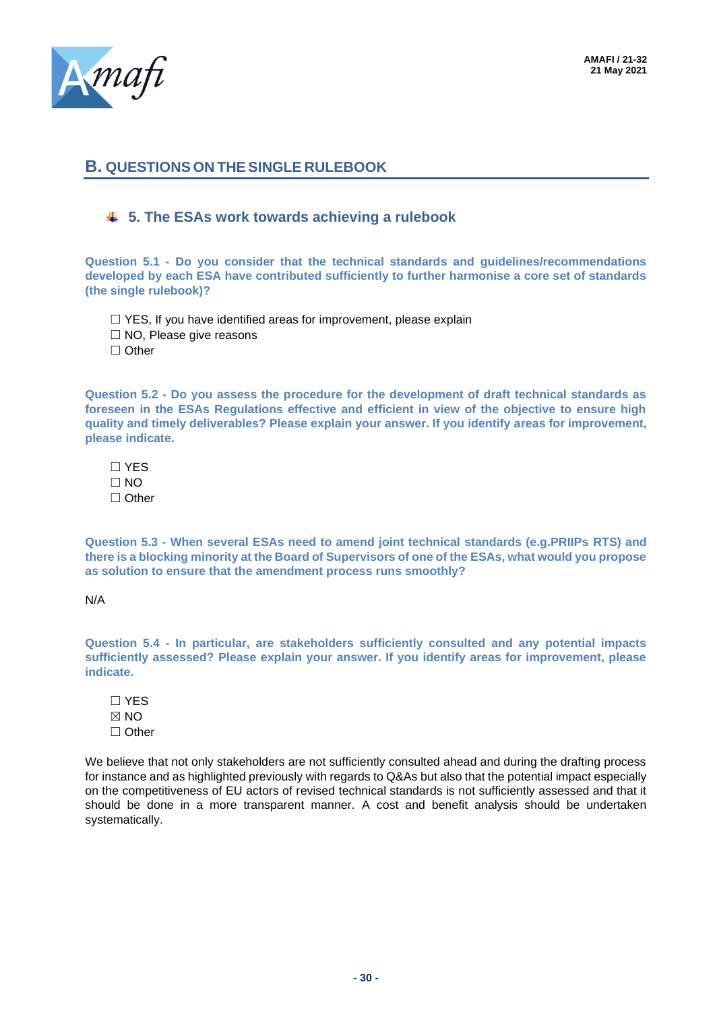

# **B. QUESTIONS ON THE SINGLE RULEBOOK**

## **5. The ESAs work towards achieving a rulebook**

**Question 5.1 - Do you consider that the technical standards and guidelines/recommendations developed by each ESA have contributed sufficiently to further harmonise a core set of standards (the single rulebook)?**

□ YES, If you have identified areas for improvement, please explain

☐ NO, Please give reasons

☐ Other

**Question 5.2 - Do you assess the procedure for the development of draft technical standards as foreseen in the ESAs Regulations effective and efficient in view of the objective to ensure high quality and timely deliverables? Please explain your answer. If you identify areas for improvement, please indicate.**

☐ YES  $\Box$  NO ☐ Other

**Question 5.3 - When several ESAs need to amend joint technical standards (e.g.PRIIPs RTS) and there is a blocking minority at the Board of Supervisors of one of the ESAs, what would you propose as solution to ensure that the amendment process runs smoothly?**

N/A

**Question 5.4 - In particular, are stakeholders sufficiently consulted and any potential impacts sufficiently assessed? Please explain your answer. If you identify areas for improvement, please indicate.**

☐ YES ☒ NO ☐ Other

We believe that not only stakeholders are not sufficiently consulted ahead and during the drafting process for instance and as highlighted previously with regards to Q&As but also that the potential impact especially on the competitiveness of EU actors of revised technical standards is not sufficiently assessed and that it should be done in a more transparent manner. A cost and benefit analysis should be undertaken systematically.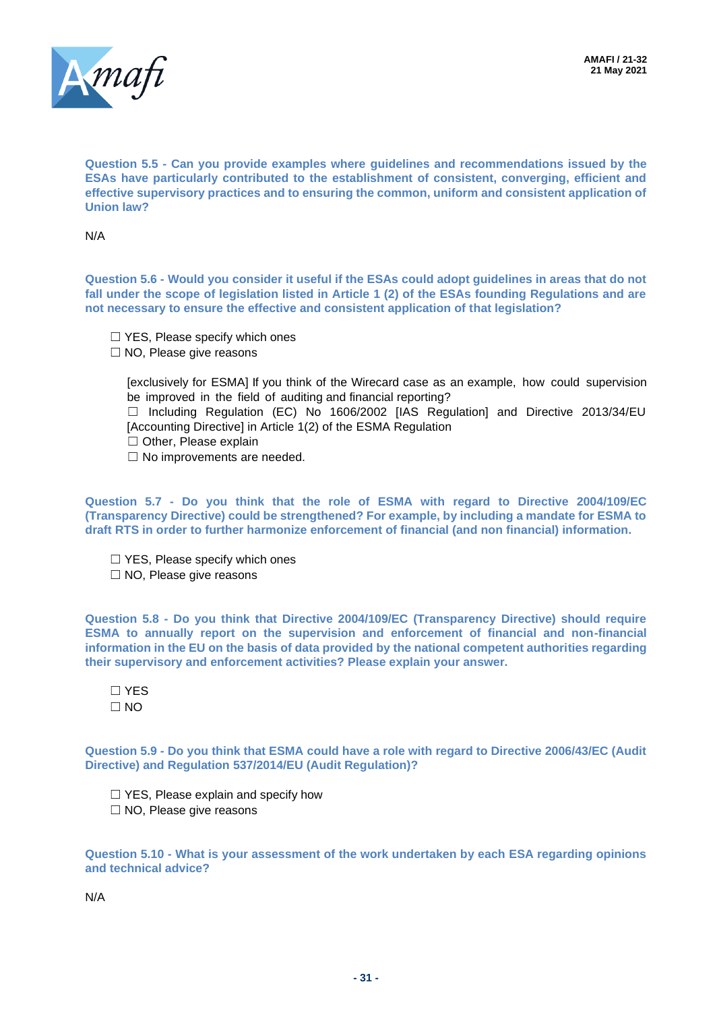

**Question 5.5 - Can you provide examples where guidelines and recommendations issued by the ESAs have particularly contributed to the establishment of consistent, converging, efficient and effective supervisory practices and to ensuring the common, uniform and consistent application of Union law?**

N/A

**Question 5.6 - Would you consider it useful if the ESAs could adopt guidelines in areas that do not fall under the scope of legislation listed in Article 1 (2) of the ESAs founding Regulations and are not necessary to ensure the effective and consistent application of that legislation?**

- □ YES, Please specify which ones
- ☐ NO, Please give reasons

[exclusively for ESMA] If you think of the Wirecard case as an example, how could supervision be improved in the field of auditing and financial reporting?

☐ Including Regulation (EC) No 1606/2002 [IAS Regulation] and Directive 2013/34/EU [Accounting Directive] in Article 1(2) of the ESMA Regulation

- ☐ Other, Please explain
- □ No improvements are needed.

**Question 5.7 - Do you think that the role of ESMA with regard to Directive 2004/109/EC (Transparency Directive) could be strengthened? For example, by including a mandate for ESMA to draft RTS in order to further harmonize enforcement of financial (and non financial) information.**

□ YES, Please specify which ones ☐ NO, Please give reasons

**Question 5.8 - Do you think that Directive 2004/109/EC (Transparency Directive) should require ESMA to annually report on the supervision and enforcement of financial and non-financial information in the EU on the basis of data provided by the national competent authorities regarding their supervisory and enforcement activities? Please explain your answer.**

☐ YES  $\Box$  NO

**Question 5.9 - Do you think that ESMA could have a role with regard to Directive 2006/43/EC (Audit Directive) and Regulation 537/2014/EU (Audit Regulation)?**

☐ YES, Please explain and specify how ☐ NO, Please give reasons

**Question 5.10 - What is your assessment of the work undertaken by each ESA regarding opinions and technical advice?**

N/A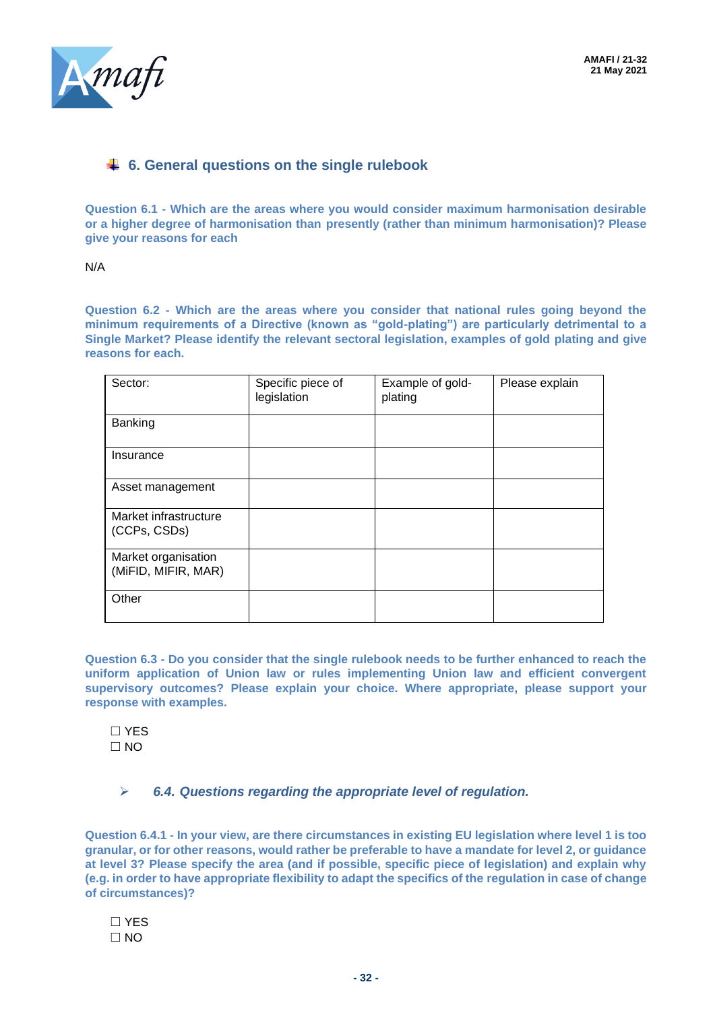

# **6. General questions on the single rulebook**

**Question 6.1 - Which are the areas where you would consider maximum harmonisation desirable or a higher degree of harmonisation than presently (rather than minimum harmonisation)? Please give your reasons for each**

N/A

**Question 6.2 - Which are the areas where you consider that national rules going beyond the minimum requirements of a Directive (known as "gold-plating") are particularly detrimental to a Single Market? Please identify the relevant sectoral legislation, examples of gold plating and give reasons for each.** 

| Sector:                                    | Specific piece of<br>legislation | Example of gold-<br>plating | Please explain |
|--------------------------------------------|----------------------------------|-----------------------------|----------------|
| Banking                                    |                                  |                             |                |
| Insurance                                  |                                  |                             |                |
| Asset management                           |                                  |                             |                |
| Market infrastructure<br>(CCPs, CSDs)      |                                  |                             |                |
| Market organisation<br>(MiFID, MIFIR, MAR) |                                  |                             |                |
| Other                                      |                                  |                             |                |

**Question 6.3 - Do you consider that the single rulebook needs to be further enhanced to reach the uniform application of Union law or rules implementing Union law and efficient convergent supervisory outcomes? Please explain your choice. Where appropriate, please support your response with examples.**

☐ YES ☐ NO

➢ *6.4. Questions regarding the appropriate level of regulation.*

**Question 6.4.1 - In your view, are there circumstances in existing EU legislation where level 1 is too granular, or for other reasons, would rather be preferable to have a mandate for level 2, or guidance at level 3? Please specify the area (and if possible, specific piece of legislation) and explain why (e.g. in order to have appropriate flexibility to adapt the specifics of the regulation in case of change of circumstances)?**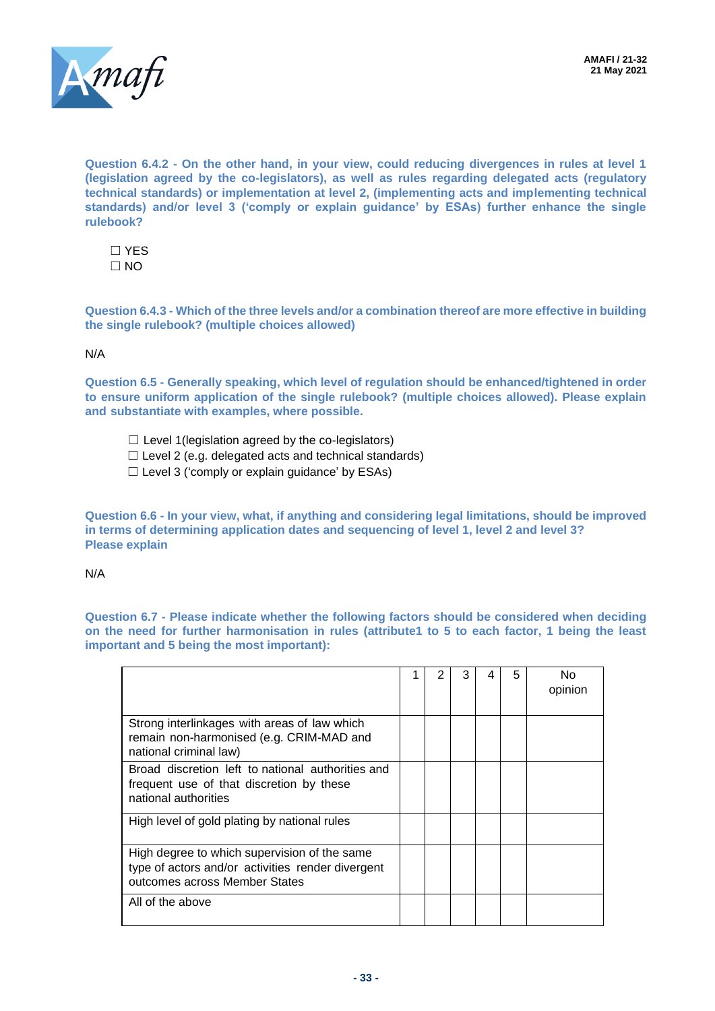



**Question 6.4.2 - On the other hand, in your view, could reducing divergences in rules at level 1 (legislation agreed by the co-legislators), as well as rules regarding delegated acts (regulatory technical standards) or implementation at level 2, (implementing acts and implementing technical standards) and/or level 3 ('comply or explain guidance' by ESAs) further enhance the single rulebook?**

☐ YES  $\Box$  NO

**Question 6.4.3 - Which of the three levels and/or a combination thereof are more effective in building the single rulebook? (multiple choices allowed)**

#### N/A

**Question 6.5 - Generally speaking, which level of regulation should be enhanced/tightened in order to ensure uniform application of the single rulebook? (multiple choices allowed). Please explain and substantiate with examples, where possible.**

- $\Box$  Level 1 (legislation agreed by the co-legislators)
- $\Box$  Level 2 (e.g. delegated acts and technical standards)
- $\Box$  Level 3 ('comply or explain guidance' by ESAs)

**Question 6.6 - In your view, what, if anything and considering legal limitations, should be improved in terms of determining application dates and sequencing of level 1, level 2 and level 3? Please explain**

#### N/A

**Question 6.7 - Please indicate whether the following factors should be considered when deciding on the need for further harmonisation in rules (attribute1 to 5 to each factor, 1 being the least important and 5 being the most important):**

|                                                                                                                                    |  | 3 | 5 | N٥<br>opinion |
|------------------------------------------------------------------------------------------------------------------------------------|--|---|---|---------------|
| Strong interlinkages with areas of law which<br>remain non-harmonised (e.g. CRIM-MAD and<br>national criminal law)                 |  |   |   |               |
| Broad discretion left to national authorities and<br>frequent use of that discretion by these<br>national authorities              |  |   |   |               |
| High level of gold plating by national rules                                                                                       |  |   |   |               |
| High degree to which supervision of the same<br>type of actors and/or activities render divergent<br>outcomes across Member States |  |   |   |               |
| All of the above                                                                                                                   |  |   |   |               |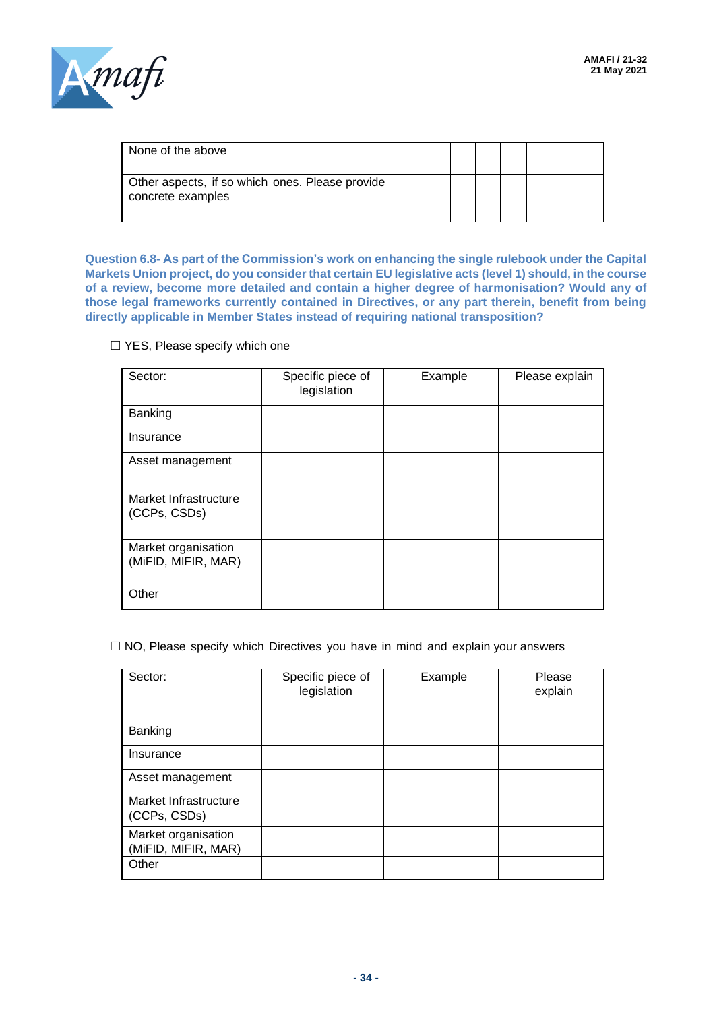

| None of the above                                                    |  |  |  |
|----------------------------------------------------------------------|--|--|--|
| Other aspects, if so which ones. Please provide<br>concrete examples |  |  |  |

**Question 6.8- As part of the Commission's work on enhancing the single rulebook under the Capital Markets Union project, do you consider that certain EU legislative acts (level 1) should, in the course of a review, become more detailed and contain a higher degree of harmonisation? Would any of those legal frameworks currently contained in Directives, or any part therein, benefit from being directly applicable in Member States instead of requiring national transposition?**

#### □ YES, Please specify which one

| Sector:                                    | Specific piece of<br>legislation | Example | Please explain |
|--------------------------------------------|----------------------------------|---------|----------------|
| Banking                                    |                                  |         |                |
| Insurance                                  |                                  |         |                |
| Asset management                           |                                  |         |                |
| Market Infrastructure<br>(CCPs, CSDs)      |                                  |         |                |
| Market organisation<br>(MiFID, MIFIR, MAR) |                                  |         |                |
| Other                                      |                                  |         |                |

 $\Box$  NO, Please specify which Directives you have in mind and explain your answers

| Sector:                                    | Specific piece of<br>legislation | Example | Please<br>explain |
|--------------------------------------------|----------------------------------|---------|-------------------|
| Banking                                    |                                  |         |                   |
| Insurance                                  |                                  |         |                   |
| Asset management                           |                                  |         |                   |
| Market Infrastructure<br>(CCPs, CSDs)      |                                  |         |                   |
| Market organisation<br>(MiFID, MIFIR, MAR) |                                  |         |                   |
| Other                                      |                                  |         |                   |